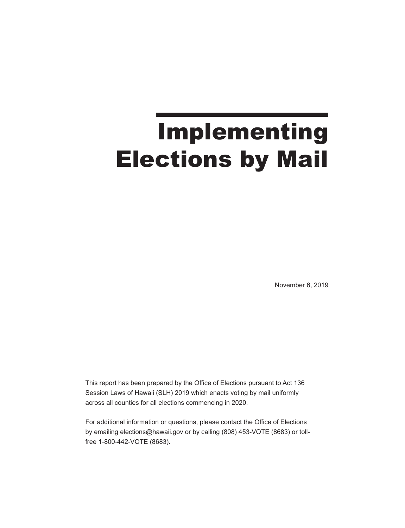November 6, 2019

This report has been prepared by the Office of Elections pursuant to Act 136 Session Laws of Hawaii (SLH) 2019 which enacts voting by mail uniformly across all counties for all elections commencing in 2020.

For additional information or questions, please contact the Office of Elections by emailing elections@hawaii.gov or by calling (808) 453-VOTE (8683) or tollfree 1-800-442-VOTE (8683).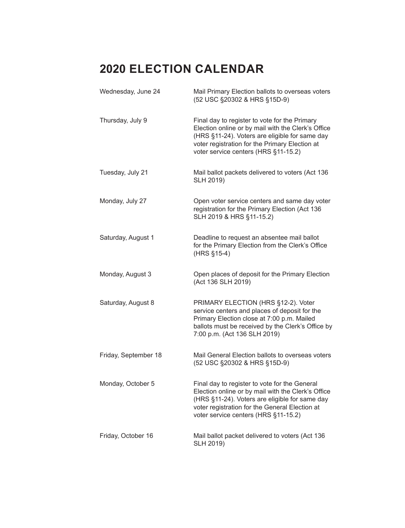# **2020 ELECTION CALENDAR**

| Wednesday, June 24   | Mail Primary Election ballots to overseas voters<br>(52 USC §20302 & HRS §15D-9)                                                                                                                                                                |
|----------------------|-------------------------------------------------------------------------------------------------------------------------------------------------------------------------------------------------------------------------------------------------|
| Thursday, July 9     | Final day to register to vote for the Primary<br>Election online or by mail with the Clerk's Office<br>(HRS §11-24). Voters are eligible for same day<br>voter registration for the Primary Election at<br>voter service centers (HRS §11-15.2) |
| Tuesday, July 21     | Mail ballot packets delivered to voters (Act 136<br><b>SLH 2019)</b>                                                                                                                                                                            |
| Monday, July 27      | Open voter service centers and same day voter<br>registration for the Primary Election (Act 136<br>SLH 2019 & HRS §11-15.2)                                                                                                                     |
| Saturday, August 1   | Deadline to request an absentee mail ballot<br>for the Primary Election from the Clerk's Office<br>(HRS §15-4)                                                                                                                                  |
| Monday, August 3     | Open places of deposit for the Primary Election<br>(Act 136 SLH 2019)                                                                                                                                                                           |
| Saturday, August 8   | PRIMARY ELECTION (HRS §12-2). Voter<br>service centers and places of deposit for the<br>Primary Election close at 7:00 p.m. Mailed<br>ballots must be received by the Clerk's Office by<br>7:00 p.m. (Act 136 SLH 2019)                         |
| Friday, September 18 | Mail General Election ballots to overseas voters<br>(52 USC §20302 & HRS §15D-9)                                                                                                                                                                |
| Monday, October 5    | Final day to register to vote for the General<br>Election online or by mail with the Clerk's Office<br>(HRS §11-24). Voters are eligible for same day<br>voter registration for the General Election at<br>voter service centers (HRS §11-15.2) |
| Friday, October 16   | Mail ballot packet delivered to voters (Act 136<br><b>SLH 2019)</b>                                                                                                                                                                             |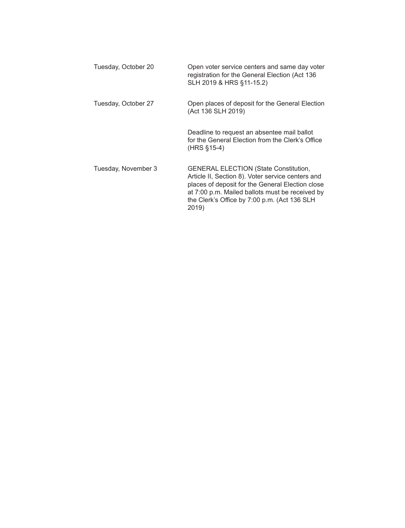| Tuesday, October 20 | Open voter service centers and same day voter<br>registration for the General Election (Act 136<br>SLH 2019 & HRS §11-15.2)                                                                                                                                       |
|---------------------|-------------------------------------------------------------------------------------------------------------------------------------------------------------------------------------------------------------------------------------------------------------------|
| Tuesday, October 27 | Open places of deposit for the General Election<br>(Act 136 SLH 2019)                                                                                                                                                                                             |
|                     | Deadline to request an absentee mail ballot<br>for the General Election from the Clerk's Office<br>$(HRS \S 15-4)$                                                                                                                                                |
| Tuesday, November 3 | <b>GENERAL ELECTION (State Constitution,</b><br>Article II, Section 8). Voter service centers and<br>places of deposit for the General Election close<br>at 7:00 p.m. Mailed ballots must be received by<br>the Clerk's Office by 7:00 p.m. (Act 136 SLH<br>2019) |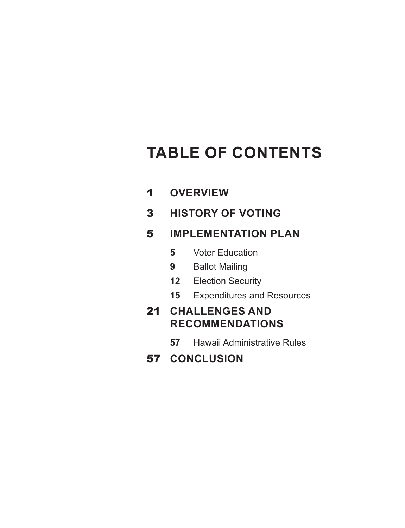# **TABLE OF CONTENTS**

- **OVERVIEW**
- **HISTORY OF VOTING**

## **IMPLEMENTATION PLAN**

- Voter Education
- Ballot Mailing
- Election Security
- Expenditures and Resources

# **CHALLENGES AND RECOMMENDATIONS**

- Hawaii Administrative Rules
- **CONCLUSION**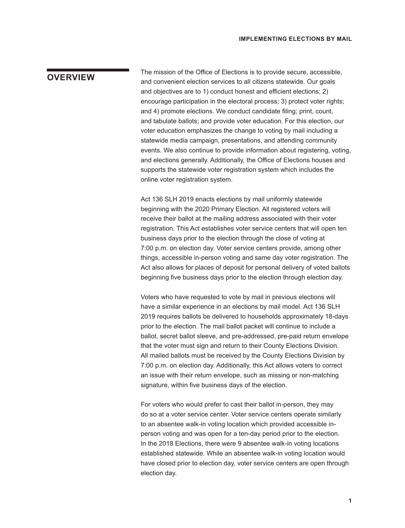#### **OVERVIEW**

The mission of the Office of Elections is to provide secure, accessible, and convenient election services to all citizens statewide. Our goals and objectives are to 1) conduct honest and efficient elections; 2) encourage participation in the electoral process; 3) protect voter rights; and 4) promote elections. We conduct candidate filing; print, count, and tabulate ballots; and provide voter education. For this election, our voter education emphasizes the change to voting by mail including a statewide media campaign, presentations, and attending community events. We also continue to provide information about registering, voting, and elections generally. Additionally, the Office of Elections houses and supports the statewide voter registration system which includes the online voter registration system.

Act 136 SLH 2019 enacts elections by mail uniformly statewide beginning with the 2020 Primary Election. All registered voters will receive their ballot at the mailing address associated with their voter registration. This Act establishes voter service centers that will open ten business days prior to the election through the close of voting at 7:00 p.m. on election day. Voter service centers provide, among other things, accessible in-person voting and same day voter registration. The Act also allows for places of deposit for personal delivery of voted ballots beginning five business days prior to the election through election day.

Voters who have requested to vote by mail in previous elections will have a similar experience in an elections by mail model. Act 136 SLH 2019 requires ballots be delivered to households approximately 18-days prior to the election. The mail ballot packet will continue to include a ballot, secret ballot sleeve, and pre-addressed, pre-paid return envelope that the voter must sign and return to their County Elections Division. All mailed ballots must be received by the County Elections Division by 7:00 p.m. on election day. Additionally, this Act allows voters to correct an issue with their return envelope, such as missing or non-matching signature, within five business days of the election.

For voters who would prefer to cast their ballot in-person, they may do so at a voter service center. Voter service centers operate similarly to an absentee walk-in voting location which provided accessible inperson voting and was open for a ten-day period prior to the election. In the 2018 Elections, there were 9 absentee walk-in voting locations established statewide. While an absentee walk-in voting location would have closed prior to election day, voter service centers are open through election day.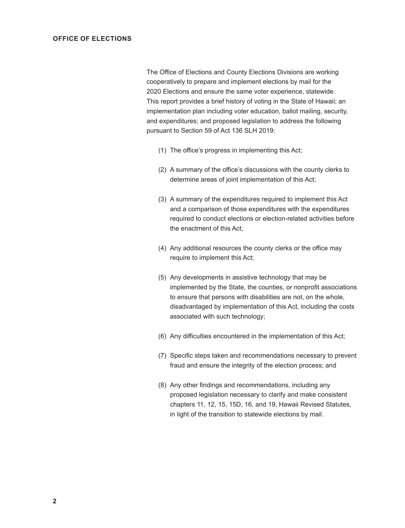The Office of Elections and County Elections Divisions are working cooperatively to prepare and implement elections by mail for the 2020 Elections and ensure the same voter experience, statewide. This report provides a brief history of voting in the State of Hawaii; an implementation plan including voter education, ballot mailing, security, and expenditures; and proposed legislation to address the following pursuant to Section 59 of Act 136 SLH 2019:

- (1) The office's progress in implementing this Act;
- (2) A summary of the office's discussions with the county clerks to determine areas of joint implementation of this Act;
- (3) A summary of the expenditures required to implement this Act and a comparison of those expenditures with the expenditures required to conduct elections or election-related activities before the enactment of this Act;
- (4) Any additional resources the county clerks or the office may require to implement this Act;
- (5) Any developments in assistive technology that may be implemented by the State, the counties, or nonprofit associations to ensure that persons with disabilities are not, on the whole, disadvantaged by implementation of this Act, including the costs associated with such technology;
- (6) Any difficulties encountered in the implementation of this Act;
- (7) Specific steps taken and recommendations necessary to prevent fraud and ensure the integrity of the election process; and
- (8) Any other findings and recommendations, including any proposed legislation necessary to clarify and make consistent chapters 11, 12, 15, 15D, 16, and 19, Hawaii Revised Statutes, in light of the transition to statewide elections by mail.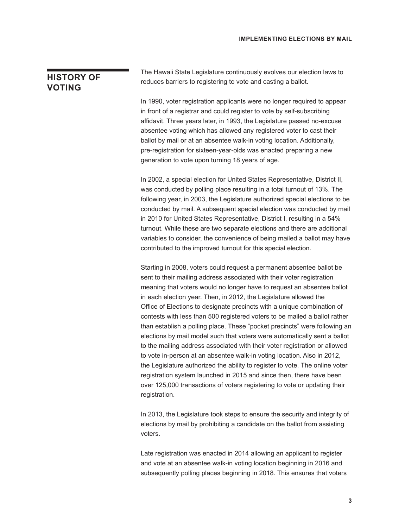#### **HISTORY OF VOTING**

The Hawaii State Legislature continuously evolves our election laws to reduces barriers to registering to vote and casting a ballot.

In 1990, voter registration applicants were no longer required to appear in front of a registrar and could register to vote by self-subscribing affidavit. Three years later, in 1993, the Legislature passed no-excuse absentee voting which has allowed any registered voter to cast their ballot by mail or at an absentee walk-in voting location. Additionally, pre-registration for sixteen-year-olds was enacted preparing a new generation to vote upon turning 18 years of age.

In 2002, a special election for United States Representative, District II, was conducted by polling place resulting in a total turnout of 13%. The following year, in 2003, the Legislature authorized special elections to be conducted by mail. A subsequent special election was conducted by mail in 2010 for United States Representative, District I, resulting in a 54% turnout. While these are two separate elections and there are additional variables to consider, the convenience of being mailed a ballot may have contributed to the improved turnout for this special election.

Starting in 2008, voters could request a permanent absentee ballot be sent to their mailing address associated with their voter registration meaning that voters would no longer have to request an absentee ballot in each election year. Then, in 2012, the Legislature allowed the Office of Elections to designate precincts with a unique combination of contests with less than 500 registered voters to be mailed a ballot rather than establish a polling place. These "pocket precincts" were following an elections by mail model such that voters were automatically sent a ballot to the mailing address associated with their voter registration or allowed to vote in-person at an absentee walk-in voting location. Also in 2012, the Legislature authorized the ability to register to vote. The online voter registration system launched in 2015 and since then, there have been over 125,000 transactions of voters registering to vote or updating their registration.

In 2013, the Legislature took steps to ensure the security and integrity of elections by mail by prohibiting a candidate on the ballot from assisting voters.

Late registration was enacted in 2014 allowing an applicant to register and vote at an absentee walk-in voting location beginning in 2016 and subsequently polling places beginning in 2018. This ensures that voters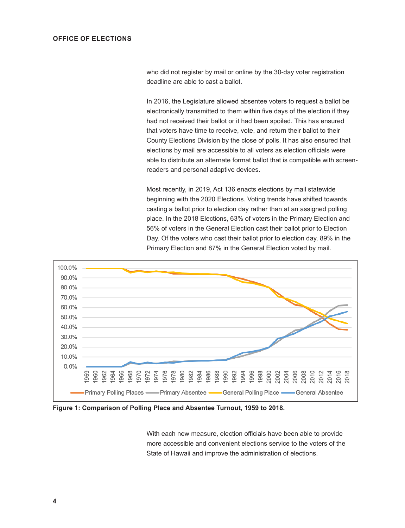who did not register by mail or online by the 30-day voter registration deadline are able to cast a ballot.

In 2016, the Legislature allowed absentee voters to request a ballot be electronically transmitted to them within five days of the election if they had not received their ballot or it had been spoiled. This has ensured that voters have time to receive, vote, and return their ballot to their County Elections Division by the close of polls. It has also ensured that elections by mail are accessible to all voters as election officials were able to distribute an alternate format ballot that is compatible with screenreaders and personal adaptive devices.

Most recently, in 2019, Act 136 enacts elections by mail statewide beginning with the 2020 Elections. Voting trends have shifted towards casting a ballot prior to election day rather than at an assigned polling place. In the 2018 Elections, 63% of voters in the Primary Election and 56% of voters in the General Election cast their ballot prior to Election Day. Of the voters who cast their ballot prior to election day, 89% in the Primary Election and 87% in the General Election voted by mail.



**Figure 1: Comparison of Polling Place and Absentee Turnout, 1959 to 2018.**

With each new measure, election officials have been able to provide more accessible and convenient elections service to the voters of the State of Hawaii and improve the administration of elections.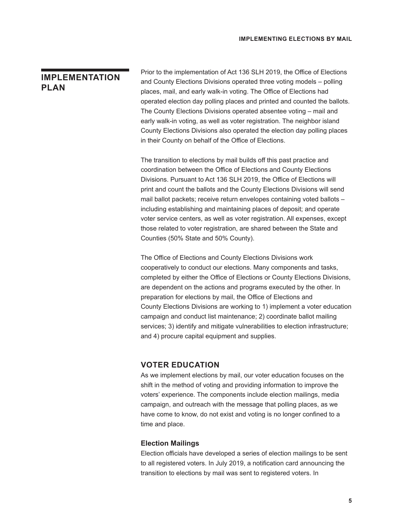#### **IMPLEMENTATION PLAN**

Prior to the implementation of Act 136 SLH 2019, the Office of Elections and County Elections Divisions operated three voting models – polling places, mail, and early walk-in voting. The Office of Elections had operated election day polling places and printed and counted the ballots. The County Elections Divisions operated absentee voting – mail and early walk-in voting, as well as voter registration. The neighbor island County Elections Divisions also operated the election day polling places in their County on behalf of the Office of Elections.

The transition to elections by mail builds off this past practice and coordination between the Office of Elections and County Elections Divisions. Pursuant to Act 136 SLH 2019, the Office of Elections will print and count the ballots and the County Elections Divisions will send mail ballot packets; receive return envelopes containing voted ballots – including establishing and maintaining places of deposit; and operate voter service centers, as well as voter registration. All expenses, except those related to voter registration, are shared between the State and Counties (50% State and 50% County).

The Office of Elections and County Elections Divisions work cooperatively to conduct our elections. Many components and tasks, completed by either the Office of Elections or County Elections Divisions, are dependent on the actions and programs executed by the other. In preparation for elections by mail, the Office of Elections and County Elections Divisions are working to 1) implement a voter education campaign and conduct list maintenance; 2) coordinate ballot mailing services; 3) identify and mitigate vulnerabilities to election infrastructure; and 4) procure capital equipment and supplies.

#### **VOTER EDUCATION**

As we implement elections by mail, our voter education focuses on the shift in the method of voting and providing information to improve the voters' experience. The components include election mailings, media campaign, and outreach with the message that polling places, as we have come to know, do not exist and voting is no longer confined to a time and place.

#### **Election Mailings**

Election officials have developed a series of election mailings to be sent to all registered voters. In July 2019, a notification card announcing the transition to elections by mail was sent to registered voters. In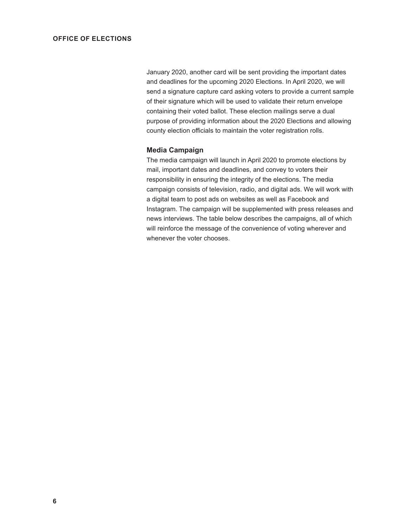January 2020, another card will be sent providing the important dates and deadlines for the upcoming 2020 Elections. In April 2020, we will send a signature capture card asking voters to provide a current sample of their signature which will be used to validate their return envelope containing their voted ballot. These election mailings serve a dual purpose of providing information about the 2020 Elections and allowing county election officials to maintain the voter registration rolls.

#### **Media Campaign**

The media campaign will launch in April 2020 to promote elections by mail, important dates and deadlines, and convey to voters their responsibility in ensuring the integrity of the elections. The media campaign consists of television, radio, and digital ads. We will work with a digital team to post ads on websites as well as Facebook and Instagram. The campaign will be supplemented with press releases and news interviews. The table below describes the campaigns, all of which will reinforce the message of the convenience of voting wherever and whenever the voter chooses.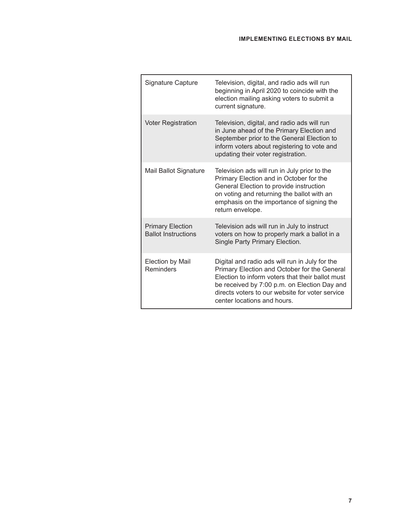| Signature Capture                                     | Television, digital, and radio ads will run<br>beginning in April 2020 to coincide with the<br>election mailing asking voters to submit a<br>current signature.                                                                                                                      |
|-------------------------------------------------------|--------------------------------------------------------------------------------------------------------------------------------------------------------------------------------------------------------------------------------------------------------------------------------------|
| <b>Voter Registration</b>                             | Television, digital, and radio ads will run<br>in June ahead of the Primary Election and<br>September prior to the General Election to<br>inform voters about registering to vote and<br>updating their voter registration.                                                          |
| Mail Ballot Signature                                 | Television ads will run in July prior to the<br>Primary Election and in October for the<br>General Election to provide instruction<br>on voting and returning the ballot with an<br>emphasis on the importance of signing the<br>return envelope.                                    |
| <b>Primary Election</b><br><b>Ballot Instructions</b> | Television ads will run in July to instruct<br>voters on how to properly mark a ballot in a<br>Single Party Primary Election.                                                                                                                                                        |
| <b>Election by Mail</b><br><b>Reminders</b>           | Digital and radio ads will run in July for the<br>Primary Election and October for the General<br>Election to inform voters that their ballot must<br>be received by 7:00 p.m. on Election Day and<br>directs voters to our website for voter service<br>center locations and hours. |

×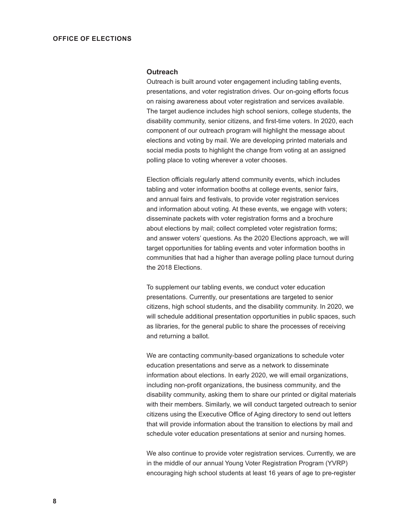#### **Outreach**

Outreach is built around voter engagement including tabling events, presentations, and voter registration drives. Our on-going efforts focus on raising awareness about voter registration and services available. The target audience includes high school seniors, college students, the disability community, senior citizens, and first-time voters. In 2020, each component of our outreach program will highlight the message about elections and voting by mail. We are developing printed materials and social media posts to highlight the change from voting at an assigned polling place to voting wherever a voter chooses.

Election officials regularly attend community events, which includes tabling and voter information booths at college events, senior fairs, and annual fairs and festivals, to provide voter registration services and information about voting. At these events, we engage with voters; disseminate packets with voter registration forms and a brochure about elections by mail; collect completed voter registration forms; and answer voters' questions. As the 2020 Elections approach, we will target opportunities for tabling events and voter information booths in communities that had a higher than average polling place turnout during the 2018 Elections.

To supplement our tabling events, we conduct voter education presentations. Currently, our presentations are targeted to senior citizens, high school students, and the disability community. In 2020, we will schedule additional presentation opportunities in public spaces, such as libraries, for the general public to share the processes of receiving and returning a ballot.

We are contacting community-based organizations to schedule voter education presentations and serve as a network to disseminate information about elections. In early 2020, we will email organizations, including non-profit organizations, the business community, and the disability community, asking them to share our printed or digital materials with their members. Similarly, we will conduct targeted outreach to senior citizens using the Executive Office of Aging directory to send out letters that will provide information about the transition to elections by mail and schedule voter education presentations at senior and nursing homes.

We also continue to provide voter registration services. Currently, we are in the middle of our annual Young Voter Registration Program (YVRP) encouraging high school students at least 16 years of age to pre-register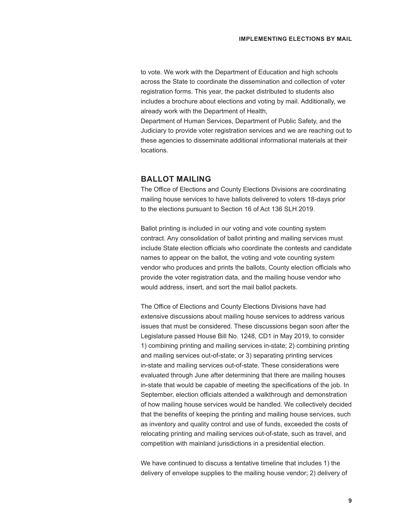to vote. We work with the Department of Education and high schools across the State to coordinate the dissemination and collection of voter registration forms. This year, the packet distributed to students also includes a brochure about elections and voting by mail. Additionally, we already work with the Department of Health,

Department of Human Services, Department of Public Safety, and the Judiciary to provide voter registration services and we are reaching out to these agencies to disseminate additional informational materials at their locations.

#### **BALLOT MAILING**

The Office of Elections and County Elections Divisions are coordinating mailing house services to have ballots delivered to voters 18-days prior to the elections pursuant to Section 16 of Act 136 SLH 2019.

Ballot printing is included in our voting and vote counting system contract. Any consolidation of ballot printing and mailing services must include State election officials who coordinate the contests and candidate names to appear on the ballot, the voting and vote counting system vendor who produces and prints the ballots, County election officials who provide the voter registration data, and the mailing house vendor who would address, insert, and sort the mail ballot packets.

The Office of Elections and County Elections Divisions have had extensive discussions about mailing house services to address various issues that must be considered. These discussions began soon after the Legislature passed House Bill No. 1248, CD1 in May 2019, to consider 1) combining printing and mailing services in-state; 2) combining printing and mailing services out-of-state; or 3) separating printing services in-state and mailing services out-of-state. These considerations were evaluated through June after determining that there are mailing houses in-state that would be capable of meeting the specifications of the job. In September, election officials attended a walkthrough and demonstration of how mailing house services would be handled. We collectively decided that the benefits of keeping the printing and mailing house services, such as inventory and quality control and use of funds, exceeded the costs of relocating printing and mailing services out-of-state, such as travel, and competition with mainland jurisdictions in a presidential election.

We have continued to discuss a tentative timeline that includes 1) the delivery of envelope supplies to the mailing house vendor; 2) delivery of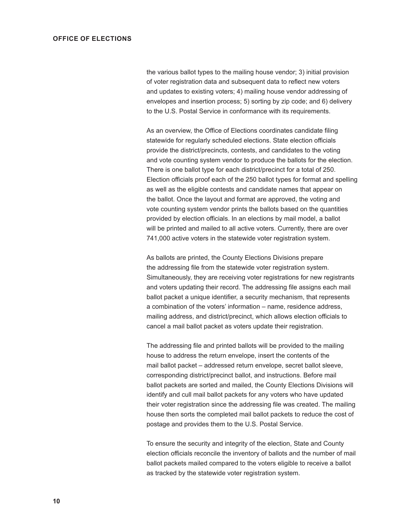the various ballot types to the mailing house vendor; 3) initial provision of voter registration data and subsequent data to reflect new voters and updates to existing voters; 4) mailing house vendor addressing of envelopes and insertion process; 5) sorting by zip code; and 6) delivery to the U.S. Postal Service in conformance with its requirements.

As an overview, the Office of Elections coordinates candidate filing statewide for regularly scheduled elections. State election officials provide the district/precincts, contests, and candidates to the voting and vote counting system vendor to produce the ballots for the election. There is one ballot type for each district/precinct for a total of 250. Election officials proof each of the 250 ballot types for format and spelling as well as the eligible contests and candidate names that appear on the ballot. Once the layout and format are approved, the voting and vote counting system vendor prints the ballots based on the quantities provided by election officials. In an elections by mail model, a ballot will be printed and mailed to all active voters. Currently, there are over 741,000 active voters in the statewide voter registration system.

As ballots are printed, the County Elections Divisions prepare the addressing file from the statewide voter registration system. Simultaneously, they are receiving voter registrations for new registrants and voters updating their record. The addressing file assigns each mail ballot packet a unique identifier, a security mechanism, that represents a combination of the voters' information – name, residence address, mailing address, and district/precinct, which allows election officials to cancel a mail ballot packet as voters update their registration.

The addressing file and printed ballots will be provided to the mailing house to address the return envelope, insert the contents of the mail ballot packet – addressed return envelope, secret ballot sleeve, corresponding district/precinct ballot, and instructions. Before mail ballot packets are sorted and mailed, the County Elections Divisions will identify and cull mail ballot packets for any voters who have updated their voter registration since the addressing file was created. The mailing house then sorts the completed mail ballot packets to reduce the cost of postage and provides them to the U.S. Postal Service.

To ensure the security and integrity of the election, State and County election officials reconcile the inventory of ballots and the number of mail ballot packets mailed compared to the voters eligible to receive a ballot as tracked by the statewide voter registration system.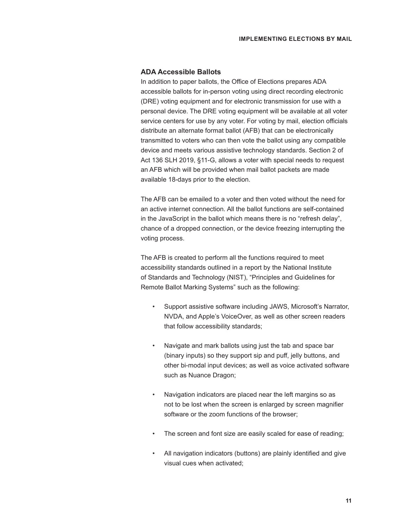#### **ADA Accessible Ballots**

In addition to paper ballots, the Office of Elections prepares ADA accessible ballots for in-person voting using direct recording electronic (DRE) voting equipment and for electronic transmission for use with a personal device. The DRE voting equipment will be available at all voter service centers for use by any voter. For voting by mail, election officials distribute an alternate format ballot (AFB) that can be electronically transmitted to voters who can then vote the ballot using any compatible device and meets various assistive technology standards. Section 2 of Act 136 SLH 2019, §11-G, allows a voter with special needs to request an AFB which will be provided when mail ballot packets are made available 18-days prior to the election.

The AFB can be emailed to a voter and then voted without the need for an active internet connection. All the ballot functions are self-contained in the JavaScript in the ballot which means there is no "refresh delay", chance of a dropped connection, or the device freezing interrupting the voting process.

The AFB is created to perform all the functions required to meet accessibility standards outlined in a report by the National Institute of Standards and Technology (NIST), "Principles and Guidelines for Remote Ballot Marking Systems" such as the following:

- Support assistive software including JAWS, Microsoft's Narrator, NVDA, and Apple's VoiceOver, as well as other screen readers that follow accessibility standards;
- Navigate and mark ballots using just the tab and space bar (binary inputs) so they support sip and puff, jelly buttons, and other bi-modal input devices; as well as voice activated software such as Nuance Dragon;
- Navigation indicators are placed near the left margins so as not to be lost when the screen is enlarged by screen magnifier software or the zoom functions of the browser;
- The screen and font size are easily scaled for ease of reading;
- All navigation indicators (buttons) are plainly identified and give visual cues when activated;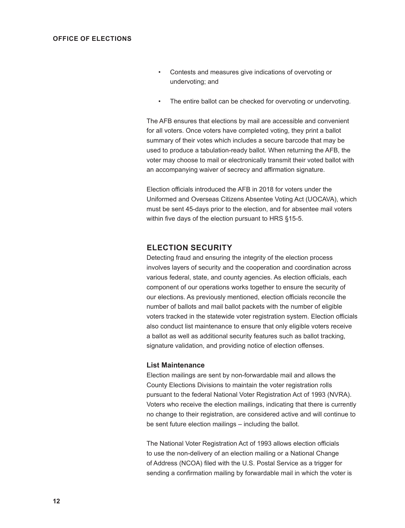- Contests and measures give indications of overvoting or undervoting; and
- The entire ballot can be checked for overvoting or undervoting.

The AFB ensures that elections by mail are accessible and convenient for all voters. Once voters have completed voting, they print a ballot summary of their votes which includes a secure barcode that may be used to produce a tabulation-ready ballot. When returning the AFB, the voter may choose to mail or electronically transmit their voted ballot with an accompanying waiver of secrecy and affirmation signature.

Election officials introduced the AFB in 2018 for voters under the Uniformed and Overseas Citizens Absentee Voting Act (UOCAVA), which must be sent 45-days prior to the election, and for absentee mail voters within five days of the election pursuant to HRS §15-5.

#### **ELECTION SECURITY**

Detecting fraud and ensuring the integrity of the election process involves layers of security and the cooperation and coordination across various federal, state, and county agencies. As election officials, each component of our operations works together to ensure the security of our elections. As previously mentioned, election officials reconcile the number of ballots and mail ballot packets with the number of eligible voters tracked in the statewide voter registration system. Election officials also conduct list maintenance to ensure that only eligible voters receive a ballot as well as additional security features such as ballot tracking, signature validation, and providing notice of election offenses.

#### **List Maintenance**

Election mailings are sent by non-forwardable mail and allows the County Elections Divisions to maintain the voter registration rolls pursuant to the federal National Voter Registration Act of 1993 (NVRA). Voters who receive the election mailings, indicating that there is currently no change to their registration, are considered active and will continue to be sent future election mailings – including the ballot.

The National Voter Registration Act of 1993 allows election officials to use the non-delivery of an election mailing or a National Change of Address (NCOA) filed with the U.S. Postal Service as a trigger for sending a confirmation mailing by forwardable mail in which the voter is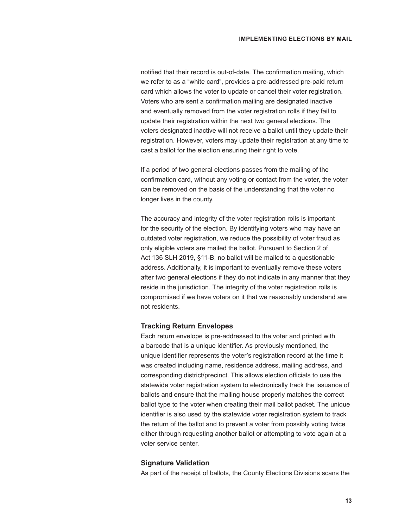notified that their record is out-of-date. The confirmation mailing, which we refer to as a "white card", provides a pre-addressed pre-paid return card which allows the voter to update or cancel their voter registration. Voters who are sent a confirmation mailing are designated inactive and eventually removed from the voter registration rolls if they fail to update their registration within the next two general elections. The voters designated inactive will not receive a ballot until they update their registration. However, voters may update their registration at any time to cast a ballot for the election ensuring their right to vote.

If a period of two general elections passes from the mailing of the confirmation card, without any voting or contact from the voter, the voter can be removed on the basis of the understanding that the voter no longer lives in the county.

The accuracy and integrity of the voter registration rolls is important for the security of the election. By identifying voters who may have an outdated voter registration, we reduce the possibility of voter fraud as only eligible voters are mailed the ballot. Pursuant to Section 2 of Act 136 SLH 2019, §11-B, no ballot will be mailed to a questionable address. Additionally, it is important to eventually remove these voters after two general elections if they do not indicate in any manner that they reside in the jurisdiction. The integrity of the voter registration rolls is compromised if we have voters on it that we reasonably understand are not residents.

#### **Tracking Return Envelopes**

Each return envelope is pre-addressed to the voter and printed with a barcode that is a unique identifier. As previously mentioned, the unique identifier represents the voter's registration record at the time it was created including name, residence address, mailing address, and corresponding district/precinct. This allows election officials to use the statewide voter registration system to electronically track the issuance of ballots and ensure that the mailing house properly matches the correct ballot type to the voter when creating their mail ballot packet. The unique identifier is also used by the statewide voter registration system to track the return of the ballot and to prevent a voter from possibly voting twice either through requesting another ballot or attempting to vote again at a voter service center.

#### **Signature Validation**

As part of the receipt of ballots, the County Elections Divisions scans the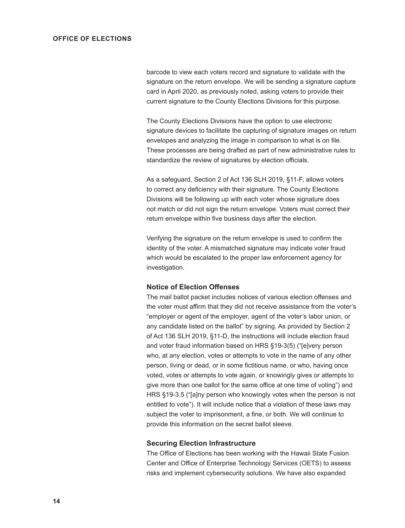barcode to view each voters record and signature to validate with the signature on the return envelope. We will be sending a signature capture card in April 2020, as previously noted, asking voters to provide their current signature to the County Elections Divisions for this purpose.

The County Elections Divisions have the option to use electronic signature devices to facilitate the capturing of signature images on return envelopes and analyzing the image in comparison to what is on file. These processes are being drafted as part of new administrative rules to standardize the review of signatures by election officials.

As a safeguard, Section 2 of Act 136 SLH 2019, §11-F, allows voters to correct any deficiency with their signature. The County Elections Divisions will be following up with each voter whose signature does not match or did not sign the return envelope. Voters must correct their return envelope within five business days after the election.

Verifying the signature on the return envelope is used to confirm the identity of the voter. A mismatched signature may indicate voter fraud which would be escalated to the proper law enforcement agency for investigation.

#### **Notice of Election Offenses**

The mail ballot packet includes notices of various election offenses and the voter must affirm that they did not receive assistance from the voter's "employer or agent of the employer, agent of the voter's labor union, or any candidate listed on the ballot" by signing. As provided by Section 2 of Act 136 SLH 2019, §11-D, the instructions will include election fraud and voter fraud information based on HRS §19-3(5) ("[e]very person who, at any election, votes or attempts to vote in the name of any other person, living or dead, or in some fictitious name, or who, having once voted, votes or attempts to vote again, or knowingly gives or attempts to give more than one ballot for the same office at one time of voting") and HRS §19-3.5 ("[a]ny person who knowingly votes when the person is not entitled to vote"). It will include notice that a violation of these laws may subject the voter to imprisonment, a fine, or both. We will continue to provide this information on the secret ballot sleeve.

#### **Securing Election Infrastructure**

The Office of Elections has been working with the Hawaii State Fusion Center and Office of Enterprise Technology Services (OETS) to assess risks and implement cybersecurity solutions. We have also expanded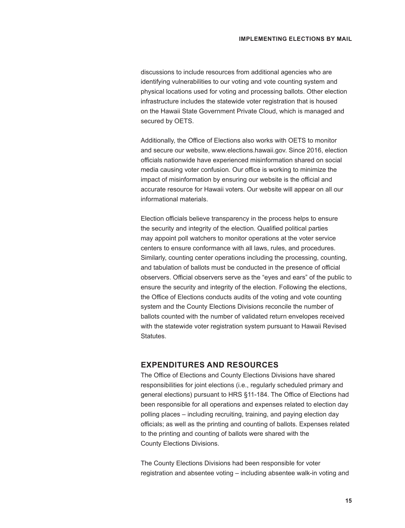discussions to include resources from additional agencies who are identifying vulnerabilities to our voting and vote counting system and physical locations used for voting and processing ballots. Other election infrastructure includes the statewide voter registration that is housed on the Hawaii State Government Private Cloud, which is managed and secured by OETS.

Additionally, the Office of Elections also works with OETS to monitor and secure our website, www.elections.hawaii.gov. Since 2016, election officials nationwide have experienced misinformation shared on social media causing voter confusion. Our office is working to minimize the impact of misinformation by ensuring our website is the official and accurate resource for Hawaii voters. Our website will appear on all our informational materials.

Election officials believe transparency in the process helps to ensure the security and integrity of the election. Qualified political parties may appoint poll watchers to monitor operations at the voter service centers to ensure conformance with all laws, rules, and procedures. Similarly, counting center operations including the processing, counting, and tabulation of ballots must be conducted in the presence of official observers. Official observers serve as the "eyes and ears" of the public to ensure the security and integrity of the election. Following the elections, the Office of Elections conducts audits of the voting and vote counting system and the County Elections Divisions reconcile the number of ballots counted with the number of validated return envelopes received with the statewide voter registration system pursuant to Hawaii Revised Statutes.

#### **EXPENDITURES AND RESOURCES**

The Office of Elections and County Elections Divisions have shared responsibilities for joint elections (i.e., regularly scheduled primary and general elections) pursuant to HRS §11-184. The Office of Elections had been responsible for all operations and expenses related to election day polling places – including recruiting, training, and paying election day officials; as well as the printing and counting of ballots. Expenses related to the printing and counting of ballots were shared with the County Elections Divisions.

The County Elections Divisions had been responsible for voter registration and absentee voting – including absentee walk-in voting and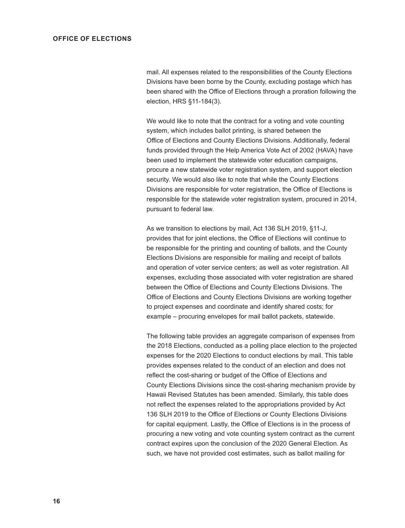mail. All expenses related to the responsibilities of the County Elections Divisions have been borne by the County, excluding postage which has been shared with the Office of Elections through a proration following the election, HRS §11-184(3).

We would like to note that the contract for a voting and vote counting system, which includes ballot printing, is shared between the Office of Elections and County Elections Divisions. Additionally, federal funds provided through the Help America Vote Act of 2002 (HAVA) have been used to implement the statewide voter education campaigns, procure a new statewide voter registration system, and support election security. We would also like to note that while the County Elections Divisions are responsible for voter registration, the Office of Elections is responsible for the statewide voter registration system, procured in 2014, pursuant to federal law.

As we transition to elections by mail, Act 136 SLH 2019, §11-J, provides that for joint elections, the Office of Elections will continue to be responsible for the printing and counting of ballots, and the County Elections Divisions are responsible for mailing and receipt of ballots and operation of voter service centers; as well as voter registration. All expenses, excluding those associated with voter registration are shared between the Office of Elections and County Elections Divisions. The Office of Elections and County Elections Divisions are working together to project expenses and coordinate and identify shared costs; for example – procuring envelopes for mail ballot packets, statewide.

The following table provides an aggregate comparison of expenses from the 2018 Elections, conducted as a polling place election to the projected expenses for the 2020 Elections to conduct elections by mail. This table provides expenses related to the conduct of an election and does not reflect the cost-sharing or budget of the Office of Elections and County Elections Divisions since the cost-sharing mechanism provide by Hawaii Revised Statutes has been amended. Similarly, this table does not reflect the expenses related to the appropriations provided by Act 136 SLH 2019 to the Office of Elections or County Elections Divisions for capital equipment. Lastly, the Office of Elections is in the process of procuring a new voting and vote counting system contract as the current contract expires upon the conclusion of the 2020 General Election. As such, we have not provided cost estimates, such as ballot mailing for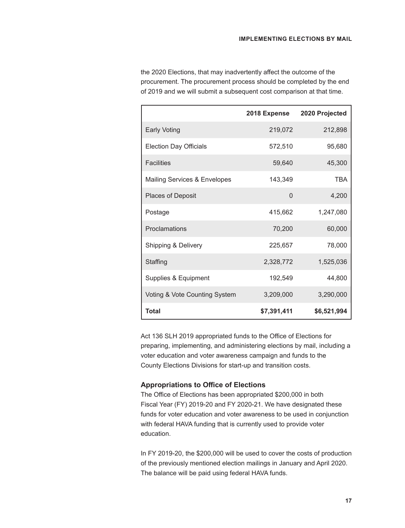|                                         | 2018 Expense | 2020 Projected |
|-----------------------------------------|--------------|----------------|
| <b>Early Voting</b>                     | 219,072      | 212,898        |
| <b>Election Day Officials</b>           | 572,510      | 95,680         |
| <b>Facilities</b>                       | 59,640       | 45,300         |
| <b>Mailing Services &amp; Envelopes</b> | 143,349      | TBA            |
| Places of Deposit                       | $\Omega$     | 4,200          |
| Postage                                 | 415,662      | 1,247,080      |
| Proclamations                           | 70,200       | 60,000         |
| Shipping & Delivery                     | 225,657      | 78,000         |
| Staffing                                | 2,328,772    | 1,525,036      |
| Supplies & Equipment                    | 192,549      | 44,800         |
| Voting & Vote Counting System           | 3,209,000    | 3,290,000      |
| Total                                   | \$7,391,411  | \$6,521,994    |

the 2020 Elections, that may inadvertently affect the outcome of the procurement. The procurement process should be completed by the end of 2019 and we will submit a subsequent cost comparison at that time.

Act 136 SLH 2019 appropriated funds to the Office of Elections for preparing, implementing, and administering elections by mail, including a voter education and voter awareness campaign and funds to the County Elections Divisions for start-up and transition costs.

#### **Appropriations to Office of Elections**

The Office of Elections has been appropriated \$200,000 in both Fiscal Year (FY) 2019-20 and FY 2020-21. We have designated these funds for voter education and voter awareness to be used in conjunction with federal HAVA funding that is currently used to provide voter education.

In FY 2019-20, the \$200,000 will be used to cover the costs of production of the previously mentioned election mailings in January and April 2020. The balance will be paid using federal HAVA funds.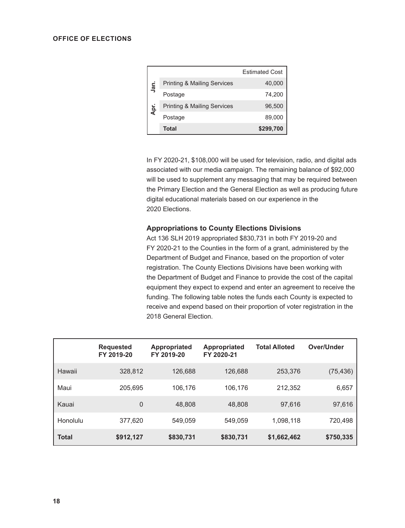|      |                                        | <b>Fstimated Cost</b> |
|------|----------------------------------------|-----------------------|
| Jan. | <b>Printing &amp; Mailing Services</b> | 40,000                |
|      | Postage                                | 74.200                |
| Apr. | <b>Printing &amp; Mailing Services</b> | 96,500                |
|      | Postage                                | 89,000                |
|      | Total                                  | \$299,700             |

In FY 2020-21, \$108,000 will be used for television, radio, and digital ads associated with our media campaign. The remaining balance of \$92,000 will be used to supplement any messaging that may be required between the Primary Election and the General Election as well as producing future digital educational materials based on our experience in the 2020 Elections.

#### **Appropriations to County Elections Divisions**

Act 136 SLH 2019 appropriated \$830,731 in both FY 2019-20 and FY 2020-21 to the Counties in the form of a grant, administered by the Department of Budget and Finance, based on the proportion of voter registration. The County Elections Divisions have been working with the Department of Budget and Finance to provide the cost of the capital equipment they expect to expend and enter an agreement to receive the funding. The following table notes the funds each County is expected to receive and expend based on their proportion of voter registration in the 2018 General Election.

|              | <b>Requested</b><br>FY 2019-20 | <b>Appropriated</b><br>FY 2019-20 | <b>Appropriated</b><br>FY 2020-21 | <b>Total Alloted</b> | Over/Under |
|--------------|--------------------------------|-----------------------------------|-----------------------------------|----------------------|------------|
| Hawaii       | 328,812                        | 126,688                           | 126,688                           | 253,376              | (75, 436)  |
| Maui         | 205.695                        | 106.176                           | 106.176                           | 212,352              | 6,657      |
| Kauai        | 0                              | 48,808                            | 48,808                            | 97,616               | 97,616     |
| Honolulu     | 377.620                        | 549,059                           | 549,059                           | 1,098,118            | 720,498    |
| <b>Total</b> | \$912,127                      | \$830,731                         | \$830,731                         | \$1,662,462          | \$750,335  |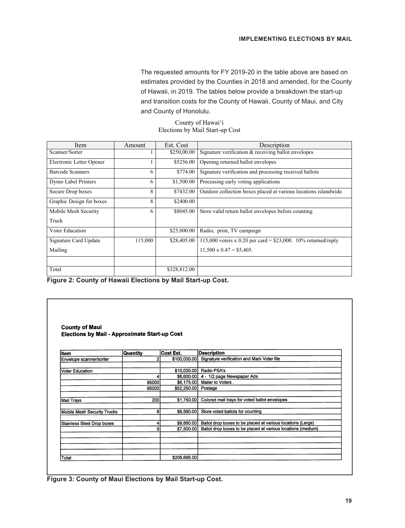The requested amounts for FY 2019-20 in the table above are based on estimates provided by the Counties in 2018 and amended, for the County of Hawaii, in 2019. The tables below provide a breakdown the start-up and transition costs for the County of Hawaii, County of Maui, and City and County of Honolulu.

County of Hawai'i Elections by Mail Start-up Cost

| Item                     | Amount  | Est. Cost    | Description                                                      |
|--------------------------|---------|--------------|------------------------------------------------------------------|
| Scanner/Sorter           |         | \$250,00.00  | Signature verification & receiving ballot envelopes              |
| Electronic Letter Opener |         | \$5256.00    | Opening returned ballot envelopes                                |
| Barcode Scanners         | 6       | \$774.00     | Signature verification and processing received ballots           |
| Dymo Label Printers      | 6       | \$1,500.00   | Processing early voting applications                             |
| Secure Drop boxes        | 8       | \$7432.00    | Outdoor collection boxes placed at various locations islandwide. |
| Graphic Design for boxes | 8       | \$2400.00    |                                                                  |
| Mobile Mesh Security     | 6       | \$8045.00    | Store valid return ballot envelopes before counting              |
| Truck                    |         |              |                                                                  |
| Voter Education          |         | \$25,000.00  | Radio, print, TV campaign                                        |
| Signature Card Update    | 115,000 | \$28,405.00  | 115,000 voters x 0.20 per card = $$23,000$ . 10% returned/reply  |
| Mailing                  |         |              | $11,500 \times 0.47 = $5,405.$                                   |
|                          |         |              |                                                                  |
| Total                    |         | \$328,812.00 |                                                                  |

**Figure 2: County of Hawaii Elections by Mail Start-up Cost.**

#### **County of Maui** Elections by Mail - Approximate Start-up Cost

| litem                       | Quantity | Cost Est.    | <b>Description</b>                                           |
|-----------------------------|----------|--------------|--------------------------------------------------------------|
| Envelope scanner/sorter     |          | \$100,000.00 | Signature verification and Mark Voter file                   |
|                             |          |              |                                                              |
| <b>Voter Education</b>      |          | \$10,000.00  | Radio PSA's                                                  |
|                             |          | \$8,600.00   | 4 - 1/2 page Newspaper Ads                                   |
|                             | 95000    | \$6,175.00   | Mailer to Voters.                                            |
|                             | 950001   | \$52,250.00  | Postage                                                      |
|                             |          |              |                                                              |
| Mail Trays                  | 200 l    | \$1,750.00   | Colored mail trays for voted ballot envelopes                |
|                             |          |              |                                                              |
| Mobile Mesh Security Trucks | 8        | \$9,560.00   | Store voted ballots for counting                             |
|                             |          |              |                                                              |
| Stainless Steel Drop boxes  |          | \$9,860.00   | Ballot drop boxes to be placed at various locations (Large)  |
|                             | 5        | \$7,500.00   | Ballot drop boxes to be placed at various locations (medium) |
|                             |          |              |                                                              |
|                             |          |              |                                                              |
|                             |          |              |                                                              |
|                             |          |              |                                                              |
| Total                       |          | \$205,695.00 |                                                              |

**Figure 3: County of Maui Elections by Mail Start-up Cost.**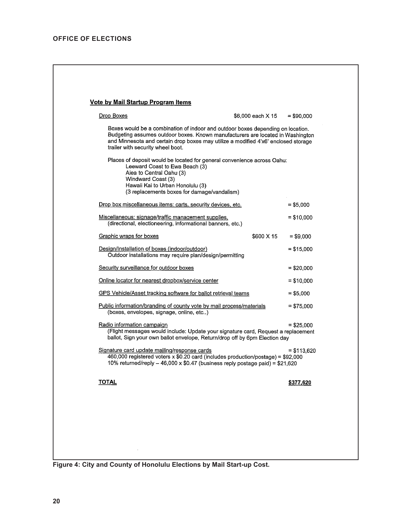| Drop Boxes                                                                                                                                                                                                                                                                                   | \$6,000 each X 15 | $= $90,000$  |
|----------------------------------------------------------------------------------------------------------------------------------------------------------------------------------------------------------------------------------------------------------------------------------------------|-------------------|--------------|
| Boxes would be a combination of indoor and outdoor boxes depending on location.<br>Budgeting assumes outdoor boxes. Known manufacturers are located in Washington<br>and Minnesota and certain drop boxes may utilize a modified 4'x6' enclosed storage<br>trailer with security wheel boot. |                   |              |
| Places of deposit would be located for general convenience across Oahu:<br>Leeward Coast to Ewa Beach (3)<br>Aiea to Central Oahu (3)<br>Windward Coast (3)<br>Hawaii Kai to Urban Honolulu (3)<br>(3 replacements boxes for damage/vandalism)                                               |                   |              |
| Drop box miscellaneous items: carts, security devices, etc.                                                                                                                                                                                                                                  |                   | $= $5,000$   |
| Miscellaneous: signage/traffic management supplies,<br>(directional, electioneering, informational banners, etc.)                                                                                                                                                                            |                   | $=$ \$10,000 |
| Graphic wraps for boxes                                                                                                                                                                                                                                                                      | \$600 X 15        | $= $9.000$   |
| Design/Installation of boxes (indoor/outdoor)<br>Outdoor installations may require plan/design/permitting                                                                                                                                                                                    |                   | $= $15,000$  |
| Security surveillance for outdoor boxes                                                                                                                                                                                                                                                      |                   | $=$ \$20,000 |
| Online locator for nearest dropbox/service center                                                                                                                                                                                                                                            |                   | $=$ \$10,000 |
| GPS Vehicle/Asset tracking software for ballot retrieval teams                                                                                                                                                                                                                               |                   | $= $5,000$   |
| Public information/branding of county vote by mail process/materials<br>(boxes, envelopes, signage, online, etc)                                                                                                                                                                             |                   | $= $75,000$  |
| Radio information campaign<br>(Flight messages would include: Update your signature card, Request a replacement<br>ballot, Sign your own ballot envelope, Return/drop off by 6pm Election day                                                                                                |                   | $=$ \$25,000 |
| Signature card update mailing/response cards<br>460,000 registered voters x $$0.20$ card (includes production/postage) = $$92,000$<br>10% returned/reply - 46,000 x \$0.47 (business reply postage paid) = \$21,620                                                                          |                   | = \$113,620  |
| <b>TOTAL</b>                                                                                                                                                                                                                                                                                 |                   | \$377,620    |

**Figure 4: City and County of Honolulu Elections by Mail Start-up Cost.**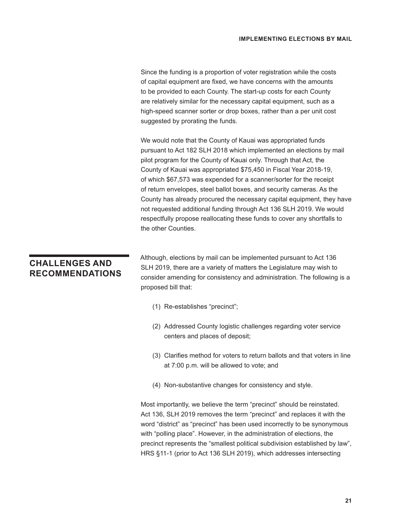Since the funding is a proportion of voter registration while the costs of capital equipment are fixed, we have concerns with the amounts to be provided to each County. The start-up costs for each County are relatively similar for the necessary capital equipment, such as a high-speed scanner sorter or drop boxes, rather than a per unit cost suggested by prorating the funds.

We would note that the County of Kauai was appropriated funds pursuant to Act 182 SLH 2018 which implemented an elections by mail pilot program for the County of Kauai only. Through that Act, the County of Kauai was appropriated \$75,450 in Fiscal Year 2018-19, of which \$67,573 was expended for a scanner/sorter for the receipt of return envelopes, steel ballot boxes, and security cameras. As the County has already procured the necessary capital equipment, they have not requested additional funding through Act 136 SLH 2019. We would respectfully propose reallocating these funds to cover any shortfalls to the other Counties.

### **CHALLENGES AND RECOMMENDATIONS**

Although, elections by mail can be implemented pursuant to Act 136 SLH 2019, there are a variety of matters the Legislature may wish to consider amending for consistency and administration. The following is a proposed bill that:

- (1) Re-establishes "precinct";
- (2) Addressed County logistic challenges regarding voter service centers and places of deposit;
- (3) Clarifies method for voters to return ballots and that voters in line at 7:00 p.m. will be allowed to vote; and
- (4) Non-substantive changes for consistency and style.

Most importantly, we believe the term "precinct" should be reinstated. Act 136, SLH 2019 removes the term "precinct" and replaces it with the word "district" as "precinct" has been used incorrectly to be synonymous with "polling place". However, in the administration of elections, the precinct represents the "smallest political subdivision established by law", HRS §11-1 (prior to Act 136 SLH 2019), which addresses intersecting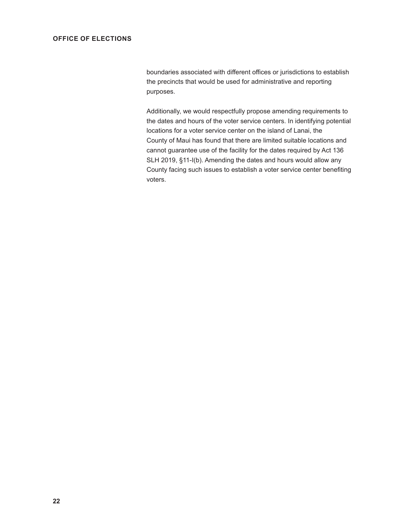boundaries associated with different offices or jurisdictions to establish the precincts that would be used for administrative and reporting purposes.

Additionally, we would respectfully propose amending requirements to the dates and hours of the voter service centers. In identifying potential locations for a voter service center on the island of Lanai, the County of Maui has found that there are limited suitable locations and cannot guarantee use of the facility for the dates required by Act 136 SLH 2019, §11-I(b). Amending the dates and hours would allow any County facing such issues to establish a voter service center benefiting voters.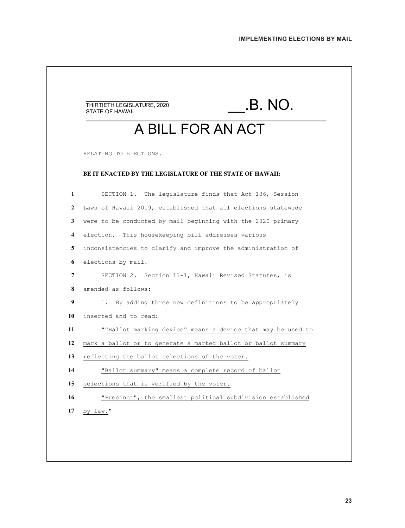| A BILL FOR AN ACT<br>RELATING TO ELECTIONS.<br><b>BE IT ENACTED BY THE LEGISLATURE OF THE STATE OF HAWAII:</b><br>SECTION 1. The legislature finds that Act 136, Session<br>Laws of Hawaii 2019, established that all elections statewide<br>were to be conducted by mail beginning with the 2020 primary<br>election. This housekeeping bill addresses various<br>inconsistencies to clarify and improve the administration of<br>elections by mail.<br>SECTION 2. Section 11-1, Hawaii Revised Statutes, is<br>amended as follows:<br>1. By adding three new definitions to be appropriately<br>inserted and to read:<br>""Ballot marking device" means a device that may be used to<br>mark a ballot or to generate a marked ballot or ballot summary<br>reflecting the ballot selections of the voter.<br>"Ballot summary" means a complete record of ballot<br>selections that is verified by the voter.<br>"Precinct", the smallest political subdivision established |              | .B. NO.<br>THIRTIETH LEGISLATURE, 2020<br><b>STATE OF HAWAII</b> |
|-----------------------------------------------------------------------------------------------------------------------------------------------------------------------------------------------------------------------------------------------------------------------------------------------------------------------------------------------------------------------------------------------------------------------------------------------------------------------------------------------------------------------------------------------------------------------------------------------------------------------------------------------------------------------------------------------------------------------------------------------------------------------------------------------------------------------------------------------------------------------------------------------------------------------------------------------------------------------------|--------------|------------------------------------------------------------------|
|                                                                                                                                                                                                                                                                                                                                                                                                                                                                                                                                                                                                                                                                                                                                                                                                                                                                                                                                                                             |              |                                                                  |
|                                                                                                                                                                                                                                                                                                                                                                                                                                                                                                                                                                                                                                                                                                                                                                                                                                                                                                                                                                             |              |                                                                  |
|                                                                                                                                                                                                                                                                                                                                                                                                                                                                                                                                                                                                                                                                                                                                                                                                                                                                                                                                                                             |              |                                                                  |
|                                                                                                                                                                                                                                                                                                                                                                                                                                                                                                                                                                                                                                                                                                                                                                                                                                                                                                                                                                             | $\mathbf{1}$ |                                                                  |
|                                                                                                                                                                                                                                                                                                                                                                                                                                                                                                                                                                                                                                                                                                                                                                                                                                                                                                                                                                             | $\mathbf{2}$ |                                                                  |
|                                                                                                                                                                                                                                                                                                                                                                                                                                                                                                                                                                                                                                                                                                                                                                                                                                                                                                                                                                             | 3            |                                                                  |
|                                                                                                                                                                                                                                                                                                                                                                                                                                                                                                                                                                                                                                                                                                                                                                                                                                                                                                                                                                             | 4            |                                                                  |
|                                                                                                                                                                                                                                                                                                                                                                                                                                                                                                                                                                                                                                                                                                                                                                                                                                                                                                                                                                             | 5            |                                                                  |
|                                                                                                                                                                                                                                                                                                                                                                                                                                                                                                                                                                                                                                                                                                                                                                                                                                                                                                                                                                             | 6            |                                                                  |
|                                                                                                                                                                                                                                                                                                                                                                                                                                                                                                                                                                                                                                                                                                                                                                                                                                                                                                                                                                             | 7            |                                                                  |
|                                                                                                                                                                                                                                                                                                                                                                                                                                                                                                                                                                                                                                                                                                                                                                                                                                                                                                                                                                             | 8            |                                                                  |
|                                                                                                                                                                                                                                                                                                                                                                                                                                                                                                                                                                                                                                                                                                                                                                                                                                                                                                                                                                             | 9            |                                                                  |
|                                                                                                                                                                                                                                                                                                                                                                                                                                                                                                                                                                                                                                                                                                                                                                                                                                                                                                                                                                             | 10           |                                                                  |
|                                                                                                                                                                                                                                                                                                                                                                                                                                                                                                                                                                                                                                                                                                                                                                                                                                                                                                                                                                             | 11           |                                                                  |
|                                                                                                                                                                                                                                                                                                                                                                                                                                                                                                                                                                                                                                                                                                                                                                                                                                                                                                                                                                             | 12           |                                                                  |
|                                                                                                                                                                                                                                                                                                                                                                                                                                                                                                                                                                                                                                                                                                                                                                                                                                                                                                                                                                             | 13           |                                                                  |
|                                                                                                                                                                                                                                                                                                                                                                                                                                                                                                                                                                                                                                                                                                                                                                                                                                                                                                                                                                             | 14           |                                                                  |
|                                                                                                                                                                                                                                                                                                                                                                                                                                                                                                                                                                                                                                                                                                                                                                                                                                                                                                                                                                             | 15           |                                                                  |
|                                                                                                                                                                                                                                                                                                                                                                                                                                                                                                                                                                                                                                                                                                                                                                                                                                                                                                                                                                             | 16           |                                                                  |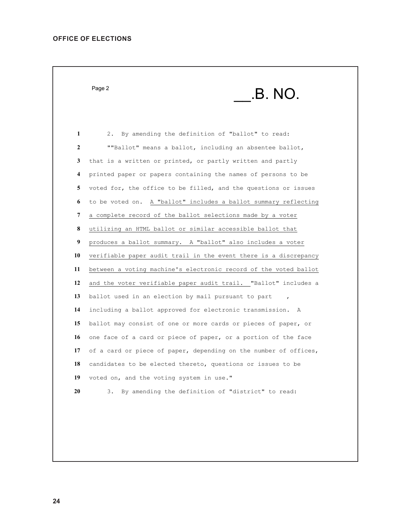Page 2 \_\_.B. NO. 2. By amending the definition of "ballot" to read: ""Ballot" means a ballot, including an absentee ballot, that is a written or printed, or partly written and partly printed paper or papers containing the names of persons to be voted for, the office to be filled, and the questions or issues to be voted on. A "ballot" includes a ballot summary reflecting a complete record of the ballot selections made by a voter utilizing an HTML ballot or similar accessible ballot that produces a ballot summary. A "ballot" also includes a voter verifiable paper audit trail in the event there is a discrepancy between a voting machine's electronic record of the voted ballot and the voter verifiable paper audit trail. "Ballot" includes a 13 ballot used in an election by mail pursuant to part , including a ballot approved for electronic transmission. A ballot may consist of one or more cards or pieces of paper, or one face of a card or piece of paper, or a portion of the face of a card or piece of paper, depending on the number of offices, candidates to be elected thereto, questions or issues to be voted on, and the voting system in use." 3. By amending the definition of "district" to read: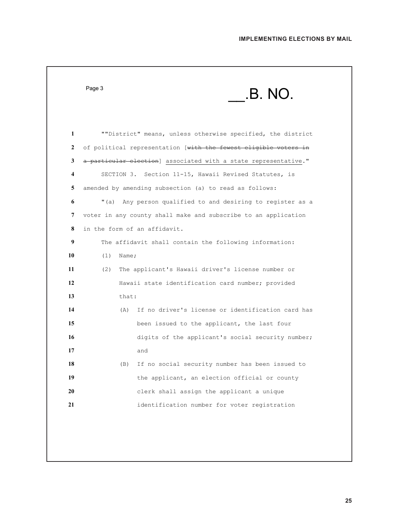|              | Page 3       | .B. NO.                                                         |
|--------------|--------------|-----------------------------------------------------------------|
| 1            |              | ""District" means, unless otherwise specified, the district     |
| $\mathbf{2}$ |              | of political representation [with the fewest eligible voters in |
| 3            |              | a particular election] associated with a state representative." |
| 4            |              | SECTION 3. Section 11-15, Hawaii Revised Statutes, is           |
| 5            |              | amended by amending subsection (a) to read as follows:          |
| 6            | " (a)        | Any person qualified to and desiring to register as a           |
| 7            |              | voter in any county shall make and subscribe to an application  |
| 8            |              | in the form of an affidavit.                                    |
| 9            |              | The affidavit shall contain the following information:          |
| 10           | (1)<br>Name; |                                                                 |
| 11           | (2)          | The applicant's Hawaii driver's license number or               |
| 12           |              | Hawaii state identification card number; provided               |
| 13           | that:        |                                                                 |
| 14           | (A)          | If no driver's license or identification card has               |
| 15           |              | been issued to the applicant, the last four                     |
| 16           |              | digits of the applicant's social security number;               |
| 17           |              | and                                                             |
| 18           | (B)          | If no social security number has been issued to                 |
| 19           |              | the applicant, an election official or county                   |
| 20           |              | clerk shall assign the applicant a unique                       |
| 21           |              | identification number for voter registration                    |
|              |              |                                                                 |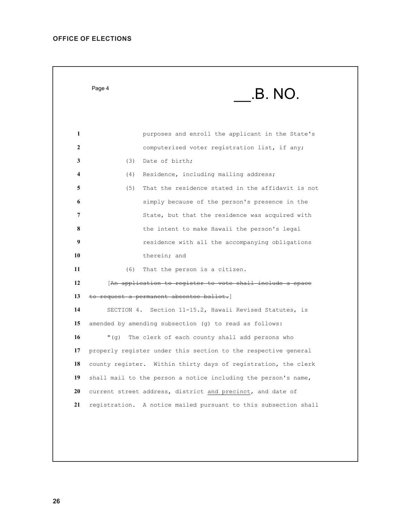| 1<br>2<br>3<br>4<br>5<br>6<br>7<br>8<br>9<br>10<br>11<br>12<br>13<br>14<br>15<br>16<br>17<br>19<br>20<br>21 | .B. NO.                                                           |
|-------------------------------------------------------------------------------------------------------------|-------------------------------------------------------------------|
|                                                                                                             | purposes and enroll the applicant in the State's                  |
|                                                                                                             | computerized voter registration list, if any;                     |
|                                                                                                             | Date of birth;<br>(3)                                             |
|                                                                                                             | Residence, including mailing address;<br>(4)                      |
|                                                                                                             | That the residence stated in the affidavit is not<br>(5)          |
|                                                                                                             | simply because of the person's presence in the                    |
|                                                                                                             | State, but that the residence was acquired with                   |
|                                                                                                             | the intent to make Hawaii the person's legal                      |
|                                                                                                             | residence with all the accompanying obligations                   |
|                                                                                                             | therein; and                                                      |
|                                                                                                             | That the person is a citizen.<br>(6)                              |
|                                                                                                             | [An application to register to vote shall include a space         |
|                                                                                                             | to request a permanent absentee ballot.]                          |
|                                                                                                             | SECTION 4. Section 11-15.2, Hawaii Revised Statutes, is           |
|                                                                                                             | amended by amending subsection (g) to read as follows:            |
|                                                                                                             | "(g) The clerk of each county shall add persons who               |
|                                                                                                             | properly register under this section to the respective general    |
|                                                                                                             | 18 county register. Within thirty days of registration, the clerk |
|                                                                                                             | shall mail to the person a notice including the person's name,    |
|                                                                                                             | current street address, district and precinct, and date of        |
|                                                                                                             | registration. A notice mailed pursuant to this subsection shall   |
|                                                                                                             |                                                                   |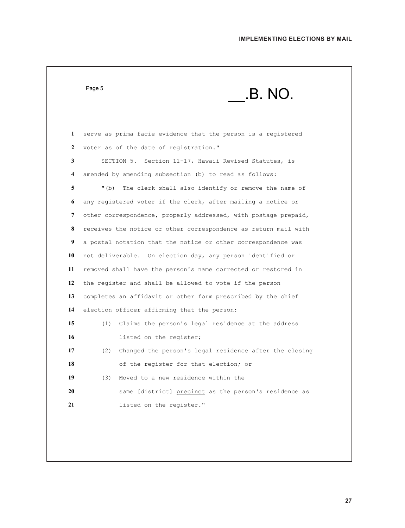| <b>IMPLEMENTING ELECTIONS BY MAIL</b> |  |  |
|---------------------------------------|--|--|
|---------------------------------------|--|--|

| $\mathbf{1}$<br>serve as prima facie evidence that the person is a registered<br>voter as of the date of registration."<br>2<br>SECTION 5. Section 11-17, Hawaii Revised Statutes, is<br>3<br>amended by amending subsection (b) to read as follows:<br>4<br>5<br>The clerk shall also identify or remove the name of<br>" $(b)$<br>6<br>any registered voter if the clerk, after mailing a notice or<br>other correspondence, properly addressed, with postage prepaid,<br>7<br>receives the notice or other correspondence as return mail with<br>8<br>9<br>a postal notation that the notice or other correspondence was<br>10<br>not deliverable. On election day, any person identified or<br>11<br>removed shall have the person's name corrected or restored in<br>12<br>the register and shall be allowed to vote if the person<br>13<br>completes an affidavit or other form prescribed by the chief<br>14<br>election officer affirming that the person:<br>15<br>Claims the person's legal residence at the address<br>(1)<br>16<br>listed on the register;<br>17<br>Changed the person's legal residence after the closing<br>(2)<br>18<br>of the register for that election; or<br>19<br>Moved to a new residence within the<br>(3)<br>20<br>same [district] precinct as the person's residence as<br>21<br>listed on the register." |  |
|---------------------------------------------------------------------------------------------------------------------------------------------------------------------------------------------------------------------------------------------------------------------------------------------------------------------------------------------------------------------------------------------------------------------------------------------------------------------------------------------------------------------------------------------------------------------------------------------------------------------------------------------------------------------------------------------------------------------------------------------------------------------------------------------------------------------------------------------------------------------------------------------------------------------------------------------------------------------------------------------------------------------------------------------------------------------------------------------------------------------------------------------------------------------------------------------------------------------------------------------------------------------------------------------------------------------------------------------------|--|
|                                                                                                                                                                                                                                                                                                                                                                                                                                                                                                                                                                                                                                                                                                                                                                                                                                                                                                                                                                                                                                                                                                                                                                                                                                                                                                                                                   |  |
|                                                                                                                                                                                                                                                                                                                                                                                                                                                                                                                                                                                                                                                                                                                                                                                                                                                                                                                                                                                                                                                                                                                                                                                                                                                                                                                                                   |  |
|                                                                                                                                                                                                                                                                                                                                                                                                                                                                                                                                                                                                                                                                                                                                                                                                                                                                                                                                                                                                                                                                                                                                                                                                                                                                                                                                                   |  |
|                                                                                                                                                                                                                                                                                                                                                                                                                                                                                                                                                                                                                                                                                                                                                                                                                                                                                                                                                                                                                                                                                                                                                                                                                                                                                                                                                   |  |
|                                                                                                                                                                                                                                                                                                                                                                                                                                                                                                                                                                                                                                                                                                                                                                                                                                                                                                                                                                                                                                                                                                                                                                                                                                                                                                                                                   |  |
|                                                                                                                                                                                                                                                                                                                                                                                                                                                                                                                                                                                                                                                                                                                                                                                                                                                                                                                                                                                                                                                                                                                                                                                                                                                                                                                                                   |  |
|                                                                                                                                                                                                                                                                                                                                                                                                                                                                                                                                                                                                                                                                                                                                                                                                                                                                                                                                                                                                                                                                                                                                                                                                                                                                                                                                                   |  |
|                                                                                                                                                                                                                                                                                                                                                                                                                                                                                                                                                                                                                                                                                                                                                                                                                                                                                                                                                                                                                                                                                                                                                                                                                                                                                                                                                   |  |
|                                                                                                                                                                                                                                                                                                                                                                                                                                                                                                                                                                                                                                                                                                                                                                                                                                                                                                                                                                                                                                                                                                                                                                                                                                                                                                                                                   |  |
|                                                                                                                                                                                                                                                                                                                                                                                                                                                                                                                                                                                                                                                                                                                                                                                                                                                                                                                                                                                                                                                                                                                                                                                                                                                                                                                                                   |  |
|                                                                                                                                                                                                                                                                                                                                                                                                                                                                                                                                                                                                                                                                                                                                                                                                                                                                                                                                                                                                                                                                                                                                                                                                                                                                                                                                                   |  |
|                                                                                                                                                                                                                                                                                                                                                                                                                                                                                                                                                                                                                                                                                                                                                                                                                                                                                                                                                                                                                                                                                                                                                                                                                                                                                                                                                   |  |
|                                                                                                                                                                                                                                                                                                                                                                                                                                                                                                                                                                                                                                                                                                                                                                                                                                                                                                                                                                                                                                                                                                                                                                                                                                                                                                                                                   |  |
|                                                                                                                                                                                                                                                                                                                                                                                                                                                                                                                                                                                                                                                                                                                                                                                                                                                                                                                                                                                                                                                                                                                                                                                                                                                                                                                                                   |  |
|                                                                                                                                                                                                                                                                                                                                                                                                                                                                                                                                                                                                                                                                                                                                                                                                                                                                                                                                                                                                                                                                                                                                                                                                                                                                                                                                                   |  |
|                                                                                                                                                                                                                                                                                                                                                                                                                                                                                                                                                                                                                                                                                                                                                                                                                                                                                                                                                                                                                                                                                                                                                                                                                                                                                                                                                   |  |
|                                                                                                                                                                                                                                                                                                                                                                                                                                                                                                                                                                                                                                                                                                                                                                                                                                                                                                                                                                                                                                                                                                                                                                                                                                                                                                                                                   |  |
|                                                                                                                                                                                                                                                                                                                                                                                                                                                                                                                                                                                                                                                                                                                                                                                                                                                                                                                                                                                                                                                                                                                                                                                                                                                                                                                                                   |  |
|                                                                                                                                                                                                                                                                                                                                                                                                                                                                                                                                                                                                                                                                                                                                                                                                                                                                                                                                                                                                                                                                                                                                                                                                                                                                                                                                                   |  |
|                                                                                                                                                                                                                                                                                                                                                                                                                                                                                                                                                                                                                                                                                                                                                                                                                                                                                                                                                                                                                                                                                                                                                                                                                                                                                                                                                   |  |
|                                                                                                                                                                                                                                                                                                                                                                                                                                                                                                                                                                                                                                                                                                                                                                                                                                                                                                                                                                                                                                                                                                                                                                                                                                                                                                                                                   |  |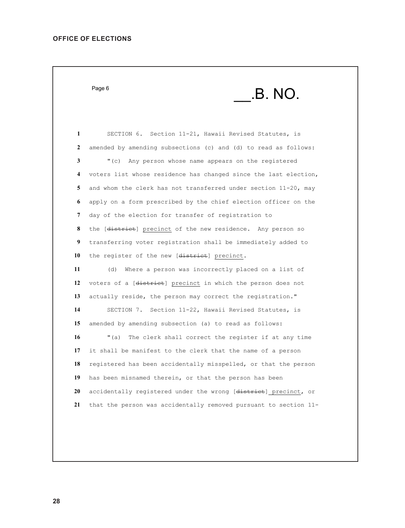Page 6 \_\_.B. NO. SECTION 6. Section 11-21, Hawaii Revised Statutes, is amended by amending subsections (c) and (d) to read as follows: "(c) Any person whose name appears on the registered voters list whose residence has changed since the last election, and whom the clerk has not transferred under section 11-20, may apply on a form prescribed by the chief election officer on the day of the election for transfer of registration to the [district] precinct of the new residence. Any person so transferring voter registration shall be immediately added to the register of the new [district] precinct. (d) Where a person was incorrectly placed on a list of voters of a [district] precinct in which the person does not actually reside, the person may correct the registration." SECTION 7. Section 11-22, Hawaii Revised Statutes, is amended by amending subsection (a) to read as follows: "(a) The clerk shall correct the register if at any time it shall be manifest to the clerk that the name of a person registered has been accidentally misspelled, or that the person has been misnamed therein, or that the person has been accidentally registered under the wrong [district] precinct, or that the person was accidentally removed pursuant to section 11-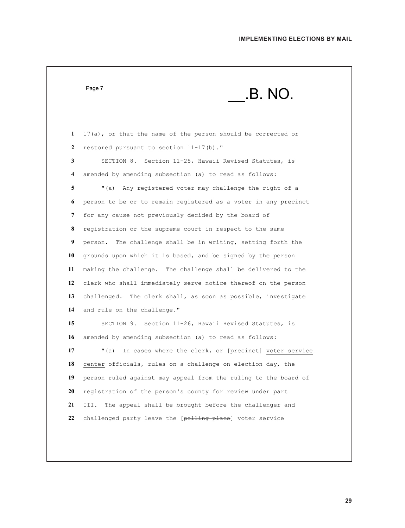|    | Page 7<br>.B. NO.                                                |
|----|------------------------------------------------------------------|
|    |                                                                  |
| 1  | 17(a), or that the name of the person should be corrected or     |
| 2  | restored pursuant to section 11-17(b)."                          |
| 3  | Section 11-25, Hawaii Revised Statutes, is<br>SECTION 8.         |
| 4  | amended by amending subsection (a) to read as follows:           |
| 5  | " $(a)$<br>Any registered voter may challenge the right of a     |
| 6  | person to be or to remain registered as a voter in any precinct  |
| 7  | for any cause not previously decided by the board of             |
| 8  | registration or the supreme court in respect to the same         |
| 9  | The challenge shall be in writing, setting forth the<br>person.  |
| 10 | grounds upon which it is based, and be signed by the person      |
| 11 | making the challenge. The challenge shall be delivered to the    |
| 12 | clerk who shall immediately serve notice thereof on the person   |
| 13 | challenged. The clerk shall, as soon as possible, investigate    |
| 14 | and rule on the challenge."                                      |
| 15 | SECTION 9. Section 11-26, Hawaii Revised Statutes, is            |
| 16 | amended by amending subsection (a) to read as follows:           |
| 17 | In cases where the clerk, or [precinct] voter service<br>" $(a)$ |
| 18 | center officials, rules on a challenge on election day, the      |
| 19 | person ruled against may appeal from the ruling to the board of  |
| 20 | registration of the person's county for review under part        |
| 21 | The appeal shall be brought before the challenger and<br>III.    |
| 22 | challenged party leave the [polling place] voter service         |
|    |                                                                  |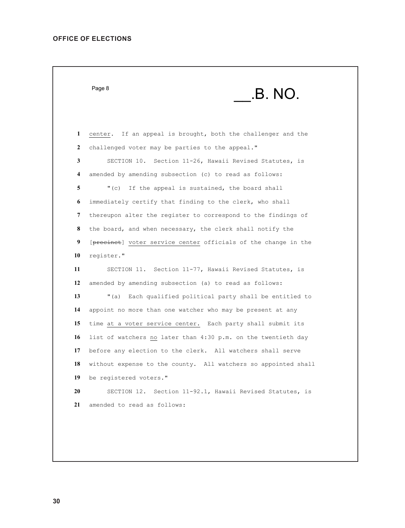Page 8 \_\_.B. NO. center. If an appeal is brought, both the challenger and the challenged voter may be parties to the appeal." SECTION 10. Section 11-26, Hawaii Revised Statutes, is amended by amending subsection (c) to read as follows: "(c) If the appeal is sustained, the board shall immediately certify that finding to the clerk, who shall thereupon alter the register to correspond to the findings of the board, and when necessary, the clerk shall notify the [precinct] voter service center officials of the change in the register." SECTION 11. Section 11-77, Hawaii Revised Statutes, is amended by amending subsection (a) to read as follows: "(a) Each qualified political party shall be entitled to appoint no more than one watcher who may be present at any time at a voter service center. Each party shall submit its list of watchers no later than 4:30 p.m. on the twentieth day before any election to the clerk. All watchers shall serve without expense to the county. All watchers so appointed shall be registered voters." SECTION 12. Section 11-92.1, Hawaii Revised Statutes, is amended to read as follows: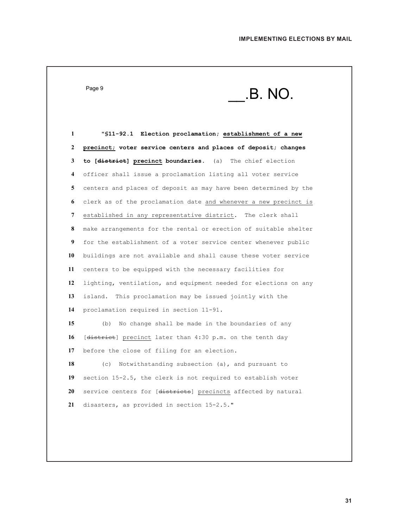Page 9

\_\_.B. NO.

 "**§11-92.1 Election proclamation; establishment of a new precinct; voter service centers and places of deposit; changes to [district] precinct boundaries.** (a) The chief election officer shall issue a proclamation listing all voter service centers and places of deposit as may have been determined by the clerk as of the proclamation date and whenever a new precinct is established in any representative district. The clerk shall make arrangements for the rental or erection of suitable shelter for the establishment of a voter service center whenever public buildings are not available and shall cause these voter service centers to be equipped with the necessary facilities for lighting, ventilation, and equipment needed for elections on any island. This proclamation may be issued jointly with the proclamation required in section 11-91. (b) No change shall be made in the boundaries of any [district] precinct later than 4:30 p.m. on the tenth day before the close of filing for an election. (c) Notwithstanding subsection (a), and pursuant to section 15-2.5, the clerk is not required to establish voter service centers for [districts] precincts affected by natural disasters, as provided in section 15-2.5."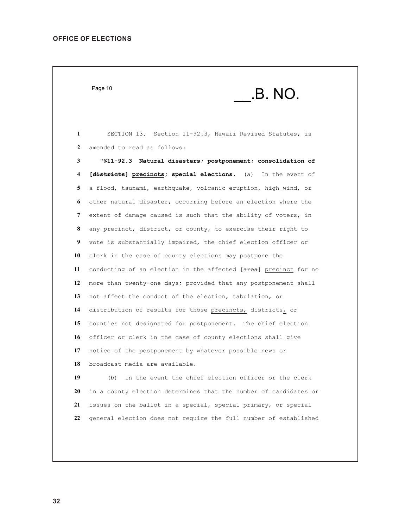$P$ age 10  $\hspace{1cm}$   $\hspace{1cm}$   $\hspace{1cm}$   $\hspace{1cm}$   $\hspace{1cm}$   $\hspace{1cm}$   $\hspace{1cm}$   $\hspace{1cm}$   $\hspace{1cm}$   $\hspace{1cm}$   $\hspace{1cm}$   $\hspace{1cm}$   $\hspace{1cm}$   $\hspace{1cm}$   $\hspace{1cm}$   $\hspace{1cm}$   $\hspace{1cm}$   $\hspace{1cm}$   $\hspace{1cm}$   $\hspace{1cm}$   $\hspace{1cm}$ 

 SECTION 13. Section 11-92.3, Hawaii Revised Statutes, is amended to read as follows:

 "**§11-92.3 Natural disasters; postponement; consolidation of [districts] precincts; special elections.** (a) In the event of a flood, tsunami, earthquake, volcanic eruption, high wind, or other natural disaster, occurring before an election where the extent of damage caused is such that the ability of voters, in any precinct, district, or county, to exercise their right to vote is substantially impaired, the chief election officer or clerk in the case of county elections may postpone the 11 conducting of an election in the affected [area] precinct for no more than twenty-one days; provided that any postponement shall not affect the conduct of the election, tabulation, or distribution of results for those precincts, districts, or counties not designated for postponement. The chief election officer or clerk in the case of county elections shall give notice of the postponement by whatever possible news or broadcast media are available.

 (b) In the event the chief election officer or the clerk in a county election determines that the number of candidates or issues on the ballot in a special, special primary, or special general election does not require the full number of established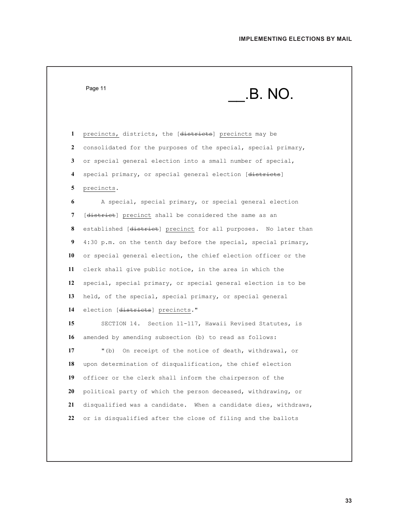|              | Page 11<br><b>.B. NO.</b>                                       |
|--------------|-----------------------------------------------------------------|
|              |                                                                 |
| $\mathbf{1}$ | precincts, districts, the [districts] precincts may be          |
| $\mathbf{2}$ | consolidated for the purposes of the special, special primary,  |
| 3            | or special general election into a small number of special,     |
| 4            | special primary, or special general election [districts]        |
| 5            | precincts.                                                      |
| 6            | A special, special primary, or special general election         |
| 7            | [district] precinct shall be considered the same as an          |
| 8            | established [district] precinct for all purposes. No later than |
| 9.           | 4:30 p.m. on the tenth day before the special, special primary, |
| 10           | or special general election, the chief election officer or the  |
| 11           | clerk shall give public notice, in the area in which the        |
| 12           | special, special primary, or special general election is to be  |
| 13           | held, of the special, special primary, or special general       |
| 14           | election [districts] precincts."                                |
| 15           | SECTION 14. Section 11-117, Hawaii Revised Statutes, is         |
| 16           | amended by amending subsection (b) to read as follows:          |
| 17           | On receipt of the notice of death, withdrawal, or<br>" $(b)$    |
| 18           | upon determination of disqualification, the chief election      |
| 19           | officer or the clerk shall inform the chairperson of the        |
| 20           | political party of which the person deceased, withdrawing, or   |
| 21           | disqualified was a candidate. When a candidate dies, withdraws, |
| 22           | or is disqualified after the close of filing and the ballots    |
|              |                                                                 |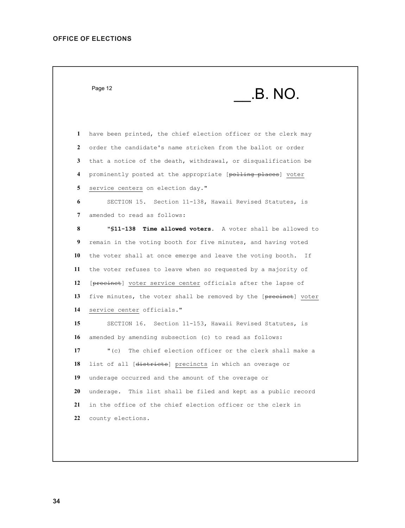$P$ age 12  $\hspace{1cm}$   $\hspace{1cm}$   $\hspace{1cm}$   $\hspace{1cm}$   $\hspace{1cm}$   $\hspace{1cm}$   $\hspace{1cm}$   $\hspace{1cm}$   $\hspace{1cm}$   $\hspace{1cm}$   $\hspace{1cm}$   $\hspace{1cm}$   $\hspace{1cm}$   $\hspace{1cm}$   $\hspace{1cm}$   $\hspace{1cm}$   $\hspace{1cm}$   $\hspace{1cm}$   $\hspace{1cm}$   $\hspace{1cm}$   $\hspace{1cm}$  have been printed, the chief election officer or the clerk may order the candidate's name stricken from the ballot or order that a notice of the death, withdrawal, or disqualification be prominently posted at the appropriate [polling places] voter service centers on election day." SECTION 15. Section 11-138, Hawaii Revised Statutes, is amended to read as follows: **"§11-138 Time allowed voters.** A voter shall be allowed to remain in the voting booth for five minutes, and having voted the voter shall at once emerge and leave the voting booth. If the voter refuses to leave when so requested by a majority of [precinct] voter service center officials after the lapse of 13 five minutes, the voter shall be removed by the [precinct] voter service center officials." SECTION 16. Section 11-153, Hawaii Revised Statutes, is amended by amending subsection (c) to read as follows: "(c) The chief election officer or the clerk shall make a list of all [districts] precincts in which an overage or underage occurred and the amount of the overage or underage. This list shall be filed and kept as a public record in the office of the chief election officer or the clerk in county elections.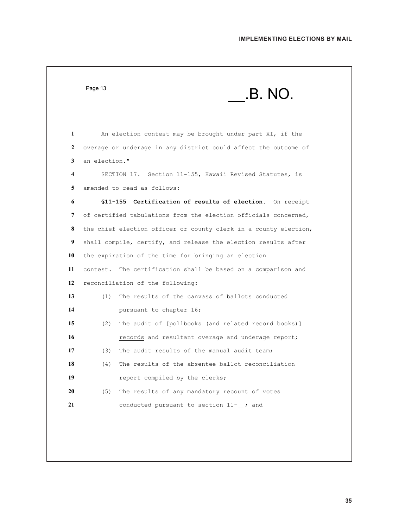|    | Page 13       | .B. NO.                                                          |  |  |
|----|---------------|------------------------------------------------------------------|--|--|
| 1  |               | An election contest may be brought under part XI, if the         |  |  |
| 2  |               | overage or underage in any district could affect the outcome of  |  |  |
| 3  | an election." |                                                                  |  |  |
| 4  |               | SECTION 17. Section 11-155, Hawaii Revised Statutes, is          |  |  |
| 5  |               | amended to read as follows:                                      |  |  |
| 6  |               | \$11-155 Certification of results of election. On receipt        |  |  |
| 7  |               | of certified tabulations from the election officials concerned,  |  |  |
| 8  |               | the chief election officer or county clerk in a county election, |  |  |
| 9  |               | shall compile, certify, and release the election results after   |  |  |
| 10 |               | the expiration of the time for bringing an election              |  |  |
| 11 |               | contest. The certification shall be based on a comparison and    |  |  |
| 12 |               | reconciliation of the following:                                 |  |  |
| 13 | (1)           | The results of the canvass of ballots conducted                  |  |  |
| 14 |               | pursuant to chapter 16;                                          |  |  |
| 15 | (2)           | The audit of [pollbooks (and related record books)]              |  |  |
| 16 |               | records and resultant overage and underage report;               |  |  |
| 17 | (3)           | The audit results of the manual audit team;                      |  |  |
| 18 | (4)           | The results of the absentee ballot reconciliation                |  |  |
| 19 |               | report compiled by the clerks;                                   |  |  |
| 20 | (5)           | The results of any mandatory recount of votes                    |  |  |
| 21 |               | conducted pursuant to section 11- ; and                          |  |  |
|    |               |                                                                  |  |  |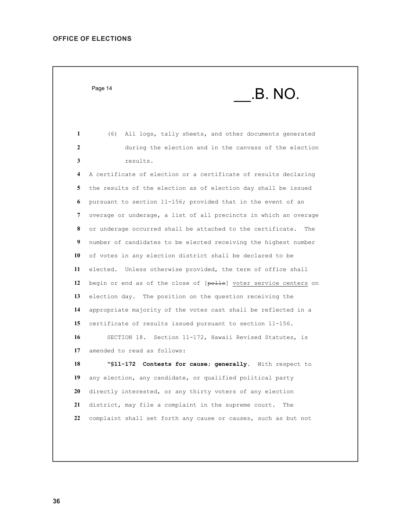$P$ age 14  $\hspace{1cm}$   $\hspace{1cm}$   $\hspace{1cm}$   $\hspace{1cm}$   $\hspace{1cm}$   $\hspace{1cm}$   $\hspace{1cm}$   $\hspace{1cm}$   $\hspace{1cm}$   $\hspace{1cm}$   $\hspace{1cm}$   $\hspace{1cm}$   $\hspace{1cm}$   $\hspace{1cm}$   $\hspace{1cm}$   $\hspace{1cm}$   $\hspace{1cm}$   $\hspace{1cm}$   $\hspace{1cm}$   $\hspace{1cm}$   $\hspace{1cm}$ 

 (6) All logs, tally sheets, and other documents generated during the election and in the canvass of the election results.

 A certificate of election or a certificate of results declaring the results of the election as of election day shall be issued pursuant to section 11-156; provided that in the event of an overage or underage, a list of all precincts in which an overage or underage occurred shall be attached to the certificate. The number of candidates to be elected receiving the highest number of votes in any election district shall be declared to be elected. Unless otherwise provided, the term of office shall 12 begin or end as of the close of [polls] voter service centers on election day. The position on the question receiving the appropriate majority of the votes cast shall be reflected in a certificate of results issued pursuant to section 11-156. SECTION 18. Section 11-172, Hawaii Revised Statutes, is amended to read as follows: **"§11-172 Contests for cause; generally.** With respect to

 any election, any candidate, or qualified political party directly interested, or any thirty voters of any election district, may file a complaint in the supreme court. The complaint shall set forth any cause or causes, such as but not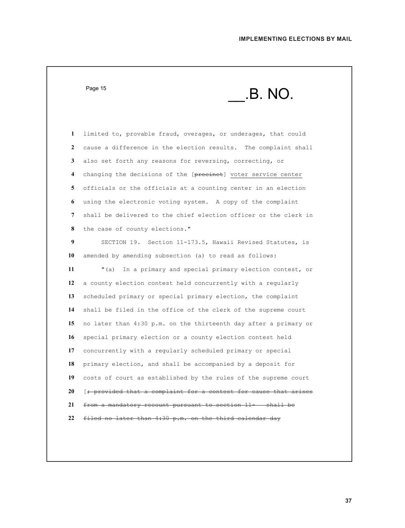Page 15  $\hspace{1.5cm}$   $\hspace{1.5cm}$   $\hspace{1.5cm}$   $\hspace{1.5cm}$   $\hspace{1.5cm}$   $\hspace{1.5cm}$   $\hspace{1.5cm}$   $\hspace{1.5cm}$   $\hspace{1.5cm}$   $\hspace{1.5cm}$   $\hspace{1.5cm}$   $\hspace{1.5cm}$   $\hspace{1.5cm}$   $\hspace{1.5cm}$   $\hspace{1.5cm}$   $\hspace{1.5cm}$   $\hspace{1.5cm}$   $\hspace{1.5cm$  limited to, provable fraud, overages, or underages, that could cause a difference in the election results. The complaint shall also set forth any reasons for reversing, correcting, or changing the decisions of the [precinct] voter service center officials or the officials at a counting center in an election using the electronic voting system. A copy of the complaint shall be delivered to the chief election officer or the clerk in the case of county elections." SECTION 19. Section 11-173.5, Hawaii Revised Statutes, is amended by amending subsection (a) to read as follows: "(a) In a primary and special primary election contest, or a county election contest held concurrently with a regularly scheduled primary or special primary election, the complaint shall be filed in the office of the clerk of the supreme court no later than 4:30 p.m. on the thirteenth day after a primary or special primary election or a county election contest held concurrently with a regularly scheduled primary or special primary election, and shall be accompanied by a deposit for costs of court as established by the rules of the supreme court [; provided that a complaint for a contest for cause that arises from a mandatory recount pursuant to section 11- shall be filed no later than 4:30 p.m. on the third calendar day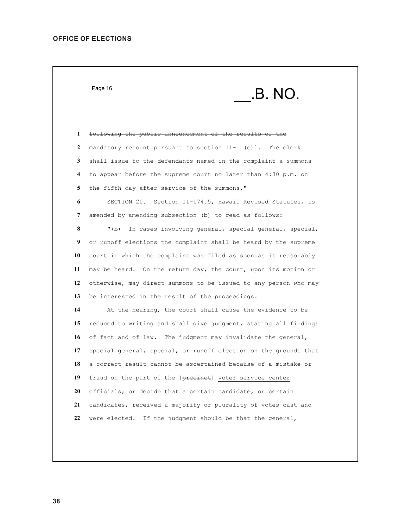Page 16 \_\_.B. NO.

 following the public announcement of the results of the mandatory recount pursuant to section 11- (e)]. The clerk shall issue to the defendants named in the complaint a summons to appear before the supreme court no later than 4:30 p.m. on the fifth day after service of the summons." SECTION 20. Section 11-174.5, Hawaii Revised Statutes, is amended by amending subsection (b) to read as follows: "(b) In cases involving general, special general, special, or runoff elections the complaint shall be heard by the supreme court in which the complaint was filed as soon as it reasonably may be heard. On the return day, the court, upon its motion or otherwise, may direct summons to be issued to any person who may

 At the hearing, the court shall cause the evidence to be reduced to writing and shall give judgment, stating all findings of fact and of law. The judgment may invalidate the general, special general, special, or runoff election on the grounds that a correct result cannot be ascertained because of a mistake or 19 fraud on the part of the [precinct] voter service center officials; or decide that a certain candidate, or certain candidates, received a majority or plurality of votes cast and were elected. If the judgment should be that the general,

be interested in the result of the proceedings.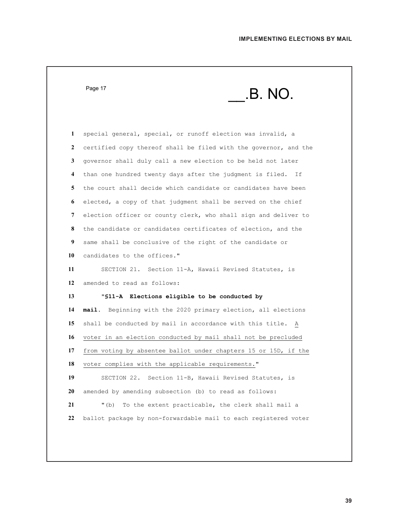|    | Page 17<br>.B. NO.                                               |
|----|------------------------------------------------------------------|
|    |                                                                  |
| 1  | special general, special, or runoff election was invalid, a      |
| 2  | certified copy thereof shall be filed with the governor, and the |
| 3  | governor shall duly call a new election to be held not later     |
| 4  | than one hundred twenty days after the judgment is filed.<br>Ιf  |
| 5  | the court shall decide which candidate or candidates have been   |
| 6  | elected, a copy of that judgment shall be served on the chief    |
| 7  | election officer or county clerk, who shall sign and deliver to  |
| 8  | the candidate or candidates certificates of election, and the    |
| 9  | same shall be conclusive of the right of the candidate or        |
| 10 | candidates to the offices."                                      |
| 11 | SECTION 21. Section 11-A, Hawaii Revised Statutes, is            |
| 12 | amended to read as follows:                                      |
| 13 | "\$11-A Elections eligible to be conducted by                    |
| 14 | mail. Beginning with the 2020 primary election, all elections    |
| 15 | shall be conducted by mail in accordance with this title. A      |
| 16 | voter in an election conducted by mail shall not be precluded    |
| 17 | from voting by absentee ballot under chapters 15 or 15D, if the  |
| 18 | voter complies with the applicable requirements."                |
| 19 | SECTION 22. Section 11-B, Hawaii Revised Statutes, is            |
| 20 | amended by amending subsection (b) to read as follows:           |
| 21 | " $(b)$<br>To the extent practicable, the clerk shall mail a     |
| 22 | ballot package by non-forwardable mail to each registered voter  |
|    |                                                                  |
|    |                                                                  |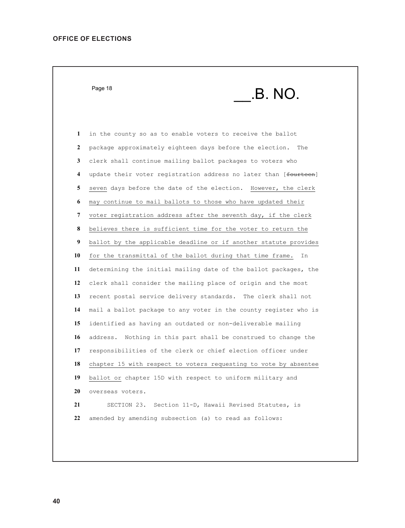$P$ age 18  $\hspace{1cm}$   $\hspace{1cm}$   $\hspace{1cm}$   $\hspace{1cm}$   $\hspace{1cm}$   $\hspace{1cm}$   $\hspace{1cm}$   $\hspace{1cm}$   $\hspace{1cm}$   $\hspace{1cm}$   $\hspace{1cm}$   $\hspace{1cm}$   $\hspace{1cm}$   $\hspace{1cm}$   $\hspace{1cm}$   $\hspace{1cm}$   $\hspace{1cm}$   $\hspace{1cm}$   $\hspace{1cm}$   $\hspace{1cm}$   $\hspace{1cm}$ 

 in the county so as to enable voters to receive the ballot package approximately eighteen days before the election. The clerk shall continue mailing ballot packages to voters who update their voter registration address no later than [fourteen] seven days before the date of the election. However, the clerk may continue to mail ballots to those who have updated their voter registration address after the seventh day, if the clerk believes there is sufficient time for the voter to return the ballot by the applicable deadline or if another statute provides for the transmittal of the ballot during that time frame. In determining the initial mailing date of the ballot packages, the clerk shall consider the mailing place of origin and the most recent postal service delivery standards. The clerk shall not mail a ballot package to any voter in the county register who is identified as having an outdated or non-deliverable mailing address. Nothing in this part shall be construed to change the responsibilities of the clerk or chief election officer under chapter 15 with respect to voters requesting to vote by absentee ballot or chapter 15D with respect to uniform military and overseas voters. SECTION 23. Section 11-D, Hawaii Revised Statutes, is amended by amending subsection (a) to read as follows: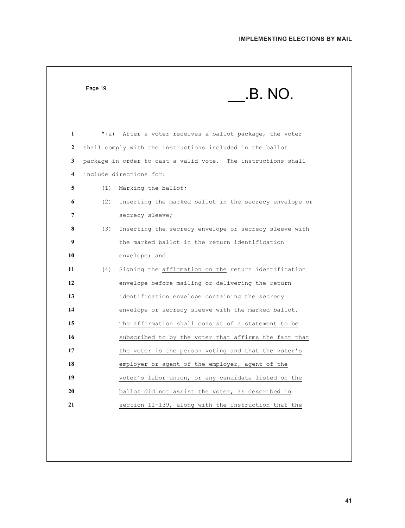|              | Page 19 | .B. NO.                                                       |
|--------------|---------|---------------------------------------------------------------|
| 1            |         | "(a) After a voter receives a ballot package, the voter       |
| $\mathbf{2}$ |         | shall comply with the instructions included in the ballot     |
| 3            |         | package in order to cast a valid vote. The instructions shall |
| 4            |         | include directions for:                                       |
| 5            | (1)     | Marking the ballot;                                           |
| 6            | (2)     | Inserting the marked ballot in the secrecy envelope or        |
| 7            |         | secrecy sleeve;                                               |
| 8            | (3)     | Inserting the secrecy envelope or secrecy sleeve with         |
| 9            |         | the marked ballot in the return identification                |
| 10           |         | envelope; and                                                 |
| 11           | (4)     | Signing the affirmation on the return identification          |
| 12           |         | envelope before mailing or delivering the return              |
| 13           |         | identification envelope containing the secrecy                |
| 14           |         | envelope or secrecy sleeve with the marked ballot.            |
| 15           |         | The affirmation shall consist of a statement to be            |
| 16           |         | subscribed to by the voter that affirms the fact that         |
| 17           |         | the voter is the person voting and that the voter's           |
| 18           |         | employer or agent of the employer, agent of the               |
| 19           |         | voter's labor union, or any candidate listed on the           |
| 20           |         | ballot did not assist the voter, as described in              |
| 21           |         | section 11-139, along with the instruction that the           |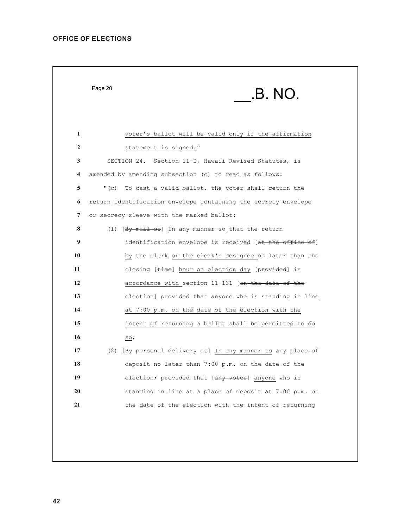|              | Page 20<br>.B. NO.                                             |
|--------------|----------------------------------------------------------------|
| $\mathbf{1}$ | voter's ballot will be valid only if the affirmation           |
| 2            | statement is signed."                                          |
| 3            | SECTION 24. Section 11-D, Hawaii Revised Statutes, is          |
| 4            | amended by amending subsection (c) to read as follows:         |
| 5            | To cast a valid ballot, the voter shall return the<br>$"$ (c)  |
| 6            | return identification envelope containing the secrecy envelope |
| 7            | or secrecy sleeve with the marked ballot:                      |
| 8            | [By mail so] In any manner so that the return<br>(1)           |
| 9            | identification envelope is received [at the office of]         |
| 10           | by the clerk or the clerk's designee no later than the         |
| 11           | closing [time] hour on election day [provided] in              |
| 12           | accordance with section 11-131 [on the date of the             |
| 13           | election] provided that anyone who is standing in line         |
| 14           | at 7:00 p.m. on the date of the election with the              |
| 15           | intent of returning a ballot shall be permitted to do          |
| 16           | so;                                                            |
| 17           | (2) [By personal delivery at] In any manner to any place of    |
| 18           | deposit no later than 7:00 p.m. on the date of the             |
| 19           | election; provided that [any voter] anyone who is              |
| 20           | standing in line at a place of deposit at 7:00 p.m. on         |
| 21           | the date of the election with the intent of returning          |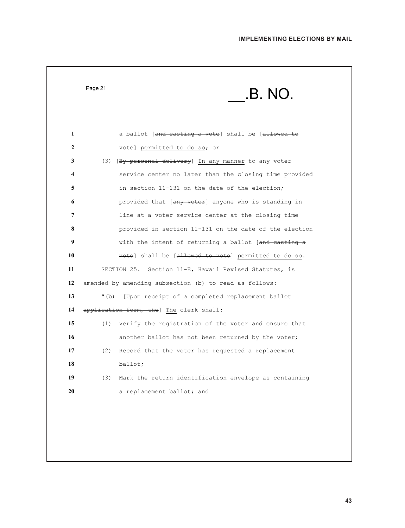| <b>IMPLEMENTING ELECTIONS BY MAIL</b> |  |  |
|---------------------------------------|--|--|
|---------------------------------------|--|--|

|              | Page 21 | <b>.B. NO.</b>                                         |
|--------------|---------|--------------------------------------------------------|
| 1            |         | a ballot [and casting a vote] shall be [allowed to     |
| $\mathbf{2}$ |         | vote] permitted to do so; or                           |
| 3            |         | (3) [By personal delivery] In any manner to any voter  |
| 4            |         | service center no later than the closing time provided |
| 5            |         | in section 11-131 on the date of the election;         |
| 6            |         | provided that [any voter] anyone who is standing in    |
| 7            |         | line at a voter service center at the closing time     |
| 8            |         | provided in section 11-131 on the date of the election |
| 9            |         | with the intent of returning a ballot [and casting a   |
| 10           |         | vote] shall be [allowed to vote] permitted to do so.   |
| 11           |         | SECTION 25. Section 11-E, Hawaii Revised Statutes, is  |
| 12           |         | amended by amending subsection (b) to read as follows: |
| 13           | $"$ (b) | [Upon receipt of a completed replacement ballot        |
| 14           |         | application form, the] The clerk shall:                |
| 15           | (1)     | Verify the registration of the voter and ensure that   |
| 16           |         | another ballot has not been returned by the voter;     |
| 17           |         | (2) Record that the voter has requested a replacement  |
| 18           |         | ballot;                                                |
| 19           | (3)     | Mark the return identification envelope as containing  |
| 20           |         | a replacement ballot; and                              |
|              |         |                                                        |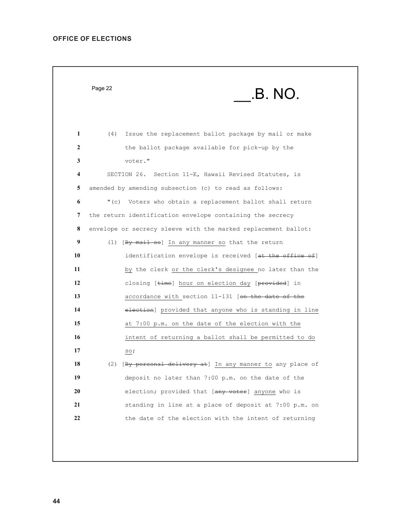|              | Page 22<br><b>B. NO.</b>                                       |
|--------------|----------------------------------------------------------------|
|              |                                                                |
| $\mathbf{1}$ | (4)<br>Issue the replacement ballot package by mail or make    |
| 2            | the ballot package available for pick-up by the                |
| 3            | voter."                                                        |
| 4            | SECTION 26. Section 11-E, Hawaii Revised Statutes, is          |
| 5            | amended by amending subsection (c) to read as follows:         |
| 6            | $"$ (c)<br>Voters who obtain a replacement ballot shall return |
| 7            | the return identification envelope containing the secrecy      |
| 8            | envelope or secrecy sleeve with the marked replacement ballot: |
| 9            | $(1)$ [By mail so] In any manner so that the return            |
| 10           | identification envelope is received [at the office of]         |
| 11           | by the clerk or the clerk's designee no later than the         |
| 12           | closing [time] hour on election day [provided] in              |
| 13           | accordance with section 11-131 [on the date of the             |
| 14           | election] provided that anyone who is standing in line         |
| 15           | at 7:00 p.m. on the date of the election with the              |
| 16           | intent of returning a ballot shall be permitted to do          |
| 17           | so;                                                            |
| 18           | (2) [By personal delivery at] In any manner to any place of    |
| 19           | deposit no later than 7:00 p.m. on the date of the             |
| 20           | election; provided that [any voter] anyone who is              |
| 21           | standing in line at a place of deposit at 7:00 p.m. on         |
| 22           | the date of the election with the intent of returning          |
|              |                                                                |
|              |                                                                |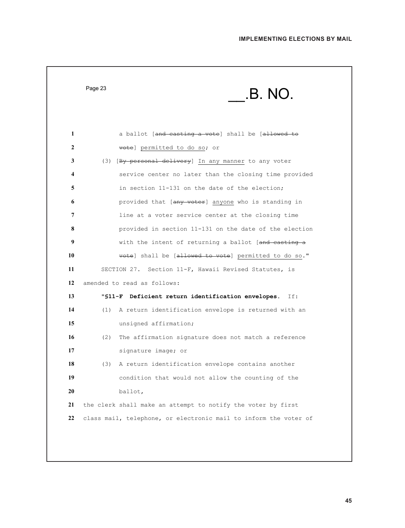| <b>IMPLEMENTING ELECTIONS BY MAIL</b> |  |  |
|---------------------------------------|--|--|
|---------------------------------------|--|--|

|              | Page 23 | .B. NO.                                                          |
|--------------|---------|------------------------------------------------------------------|
| 1            |         | a ballot [and casting a vote] shall be [allowed to               |
| $\mathbf{2}$ |         | vote] permitted to do so; or                                     |
| 3            |         | (3) [By personal delivery] In any manner to any voter            |
| 4            |         | service center no later than the closing time provided           |
| 5            |         | in section 11-131 on the date of the election;                   |
| 6            |         | provided that [any voter] anyone who is standing in              |
| 7            |         | line at a voter service center at the closing time               |
| 8            |         | provided in section 11-131 on the date of the election           |
| 9            |         | with the intent of returning a ballot [and casting a             |
| 10           |         | vote] shall be [allowed to vote] permitted to do so."            |
| 11           |         | SECTION 27. Section 11-F, Hawaii Revised Statutes, is            |
| 12           |         | amended to read as follows:                                      |
| 13           |         | "\$11-F Deficient return identification envelopes. If:           |
| 14           |         | (1) A return identification envelope is returned with an         |
| 15           |         | unsigned affirmation;                                            |
| 16           |         | (2) The affirmation signature does not match a reference         |
| 17           |         | signature image; or                                              |
| 18           | (3)     | A return identification envelope contains another                |
| 19           |         | condition that would not allow the counting of the               |
| 20           |         | ballot,                                                          |
| 21           |         | the clerk shall make an attempt to notify the voter by first     |
| 22           |         | class mail, telephone, or electronic mail to inform the voter of |
|              |         |                                                                  |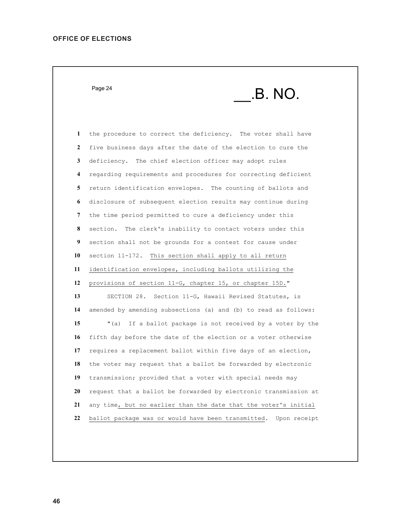$P$ age 24  $\hspace{1cm}$   $\hspace{1cm}$   $\hspace{1cm}$   $\hspace{1cm}$   $\hspace{1cm}$   $\hspace{1cm}$   $\hspace{1cm}$   $\hspace{1cm}$   $\hspace{1cm}$   $\hspace{1cm}$   $\hspace{1cm}$   $\hspace{1cm}$   $\hspace{1cm}$   $\hspace{1cm}$   $\hspace{1cm}$   $\hspace{1cm}$   $\hspace{1cm}$   $\hspace{1cm}$   $\hspace{1cm}$   $\hspace{1cm}$   $\hspace{1cm}$ 

 the procedure to correct the deficiency. The voter shall have five business days after the date of the election to cure the deficiency. The chief election officer may adopt rules regarding requirements and procedures for correcting deficient return identification envelopes. The counting of ballots and disclosure of subsequent election results may continue during the time period permitted to cure a deficiency under this section. The clerk's inability to contact voters under this section shall not be grounds for a contest for cause under section 11-172. This section shall apply to all return identification envelopes, including ballots utilizing the provisions of section 11-G, chapter 15, or chapter 15D." SECTION 28. Section 11-G, Hawaii Revised Statutes, is amended by amending subsections (a) and (b) to read as follows: "(a) If a ballot package is not received by a voter by the fifth day before the date of the election or a voter otherwise requires a replacement ballot within five days of an election, the voter may request that a ballot be forwarded by electronic transmission; provided that a voter with special needs may request that a ballot be forwarded by electronic transmission at any time, but no earlier than the date that the voter's initial ballot package was or would have been transmitted. Upon receipt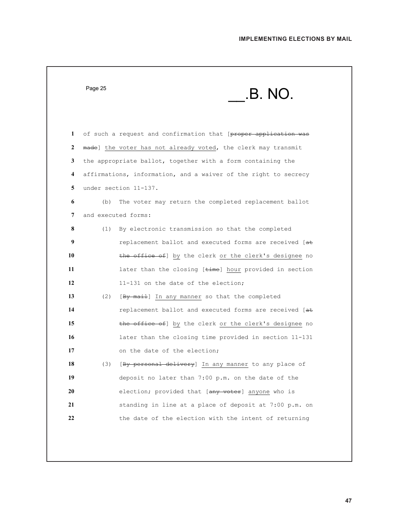|    | Page 25 | .B. NO.                                                         |
|----|---------|-----------------------------------------------------------------|
| 1  |         | of such a request and confirmation that [proper application was |
| 2  |         | made] the voter has not already voted, the clerk may transmit   |
| 3  |         | the appropriate ballot, together with a form containing the     |
| 4  |         | affirmations, information, and a waiver of the right to secrecy |
| 5  |         | under section 11-137.                                           |
| 6  | (b)     | The voter may return the completed replacement ballot           |
| 7  |         | and executed forms:                                             |
| 8  | (1)     | By electronic transmission so that the completed                |
| 9  |         | replacement ballot and executed forms are received [at          |
| 10 |         | the office of] by the clerk or the clerk's designee no          |
| 11 |         | later than the closing [time] hour provided in section          |
| 12 |         | 11-131 on the date of the election;                             |
| 13 | (2)     | [By mail] In any manner so that the completed                   |
| 14 |         | replacement ballot and executed forms are received [at          |
| 15 |         | the office of] by the clerk or the clerk's designee no          |
| 16 |         | later than the closing time provided in section 11-131          |
| 17 |         | on the date of the election;                                    |
| 18 | (3)     | [By personal delivery] In any manner to any place of            |
| 19 |         | deposit no later than 7:00 p.m. on the date of the              |
| 20 |         | election; provided that [any voter] anyone who is               |
| 21 |         | standing in line at a place of deposit at 7:00 p.m. on          |
| 22 |         | the date of the election with the intent of returning           |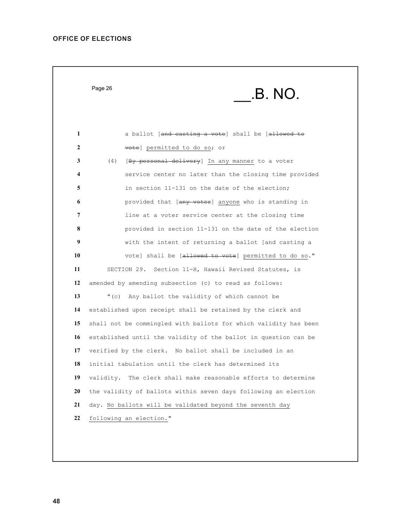$P$ age 26  $\hspace{1cm} \textbf{B. NO.}$ **a** ballot [and casting a vote] shall be [allowed to 2 vote] permitted to do so; or (4) [By personal delivery] In any manner to a voter service center no later than the closing time provided in section 11-131 on the date of the election; **b** provided that [any voter] anyone who is standing in line at a voter service center at the closing time provided in section 11-131 on the date of the election with the intent of returning a ballot [and casting a vote] shall be [allowed to vote] permitted to do so." SECTION 29. Section 11-H, Hawaii Revised Statutes, is amended by amending subsection (c) to read as follows: "(c) Any ballot the validity of which cannot be established upon receipt shall be retained by the clerk and shall not be commingled with ballots for which validity has been established until the validity of the ballot in question can be verified by the clerk. No ballot shall be included in an initial tabulation until the clerk has determined its validity. The clerk shall make reasonable efforts to determine the validity of ballots within seven days following an election day. No ballots will be validated beyond the seventh day following an election."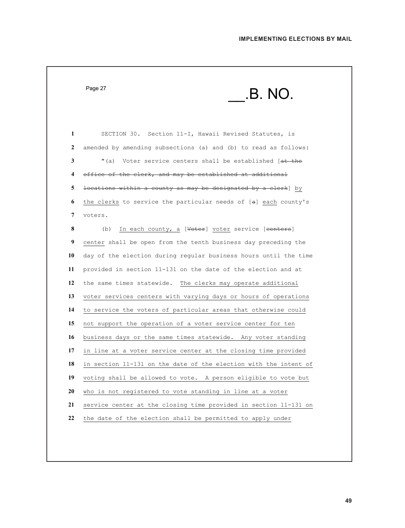| Page 27<br>.B. NO.                                               |
|------------------------------------------------------------------|
| SECTION 30. Section 11-I, Hawaii Revised Statutes, is            |
| amended by amending subsections (a) and (b) to read as follows:  |
| " $(a)$                                                          |
| Voter service centers shall be established [at the               |
| office of the clerk, and may be established at additional        |
| locations within a county as may be designated by a clerk] by    |
| the clerks to service the particular needs of [a] each county's  |
| voters.                                                          |
| In each county, a [Voter] voter service [eenters]<br>(b)         |
| center shall be open from the tenth business day preceding the   |
| day of the election during regular business hours until the time |
| provided in section 11-131 on the date of the election and at    |
| the same times statewide. The clerks may operate additional      |
| voter services centers with varying days or hours of operations  |
| to service the voters of particular areas that otherwise could   |
| not support the operation of a voter service center for ten      |
| business days or the same times statewide. Any voter standing    |
| in line at a voter service center at the closing time provided   |
| in section 11-131 on the date of the election with the intent of |
| voting shall be allowed to vote. A person eligible to vote but   |
| who is not registered to vote standing in line at a voter        |
| service center at the closing time provided in section 11-131 on |
| the date of the election shall be permitted to apply under       |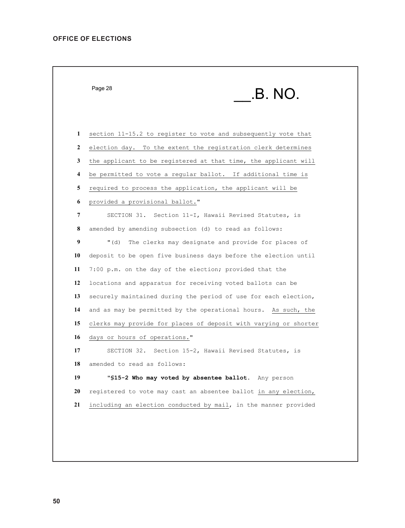$P$ age 28  $\hspace{1cm}$   $\hspace{1cm}$   $\hspace{1cm}$   $\hspace{1cm}$   $\hspace{1cm}$   $\hspace{1cm}$   $\hspace{1cm}$   $\hspace{1cm}$   $\hspace{1cm}$   $\hspace{1cm}$   $\hspace{1cm}$   $\hspace{1cm}$   $\hspace{1cm}$   $\hspace{1cm}$   $\hspace{1cm}$   $\hspace{1cm}$   $\hspace{1cm}$   $\hspace{1cm}$   $\hspace{1cm}$   $\hspace{1cm}$   $\hspace{1cm}$  section 11-15.2 to register to vote and subsequently vote that election day. To the extent the registration clerk determines the applicant to be registered at that time, the applicant will be permitted to vote a regular ballot. If additional time is required to process the application, the applicant will be provided a provisional ballot." SECTION 31. Section 11-I, Hawaii Revised Statutes, is amended by amending subsection (d) to read as follows: "(d) The clerks may designate and provide for places of deposit to be open five business days before the election until 7:00 p.m. on the day of the election; provided that the locations and apparatus for receiving voted ballots can be securely maintained during the period of use for each election, and as may be permitted by the operational hours. As such, the clerks may provide for places of deposit with varying or shorter days or hours of operations." SECTION 32. Section 15-2, Hawaii Revised Statutes, is amended to read as follows: "**§15-2 Who may voted by absentee ballot.** Any person registered to vote may cast an absentee ballot in any election, including an election conducted by mail, in the manner provided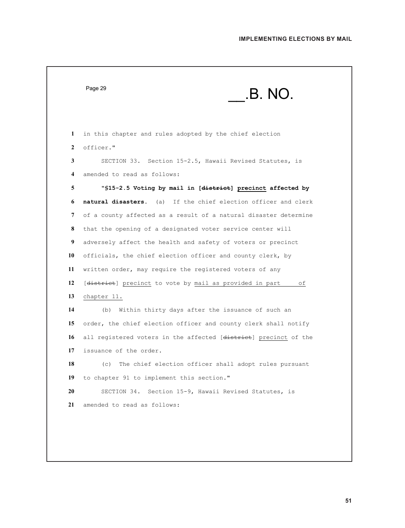| <b>IMPLEMENTING ELECTIONS BY MAIL</b> |  |
|---------------------------------------|--|
|---------------------------------------|--|

| 1<br>$\mathbf{2}$<br>officer."<br>3<br>4<br>5<br>6<br>7<br>8<br>9<br>10<br>11<br>12<br>13<br>chapter 11.<br>14<br>(b)<br>15<br>16<br>17<br>18<br>19<br>20 |                                                                  | <b>.B. NO.</b> |
|-----------------------------------------------------------------------------------------------------------------------------------------------------------|------------------------------------------------------------------|----------------|
|                                                                                                                                                           | in this chapter and rules adopted by the chief election          |                |
|                                                                                                                                                           |                                                                  |                |
|                                                                                                                                                           | SECTION 33. Section 15-2.5, Hawaii Revised Statutes, is          |                |
|                                                                                                                                                           | amended to read as follows:                                      |                |
|                                                                                                                                                           | "\$15-2.5 Voting by mail in [district] precinct affected by      |                |
|                                                                                                                                                           | natural disasters. (a) If the chief election officer and clerk   |                |
|                                                                                                                                                           | of a county affected as a result of a natural disaster determine |                |
|                                                                                                                                                           | that the opening of a designated voter service center will       |                |
|                                                                                                                                                           | adversely affect the health and safety of voters or precinct     |                |
|                                                                                                                                                           | officials, the chief election officer and county clerk, by       |                |
|                                                                                                                                                           | written order, may require the registered voters of any          |                |
|                                                                                                                                                           | [district] precinct to vote by mail as provided in part          | оf             |
|                                                                                                                                                           |                                                                  |                |
|                                                                                                                                                           | Within thirty days after the issuance of such an                 |                |
|                                                                                                                                                           | order, the chief election officer and county clerk shall notify  |                |
|                                                                                                                                                           | all registered voters in the affected [district] precinct of the |                |
|                                                                                                                                                           | issuance of the order.                                           |                |
|                                                                                                                                                           | (c) The chief election officer shall adopt rules pursuant        |                |
|                                                                                                                                                           | to chapter 91 to implement this section."                        |                |
|                                                                                                                                                           | SECTION 34. Section 15-9, Hawaii Revised Statutes, is            |                |
| 21                                                                                                                                                        | amended to read as follows:                                      |                |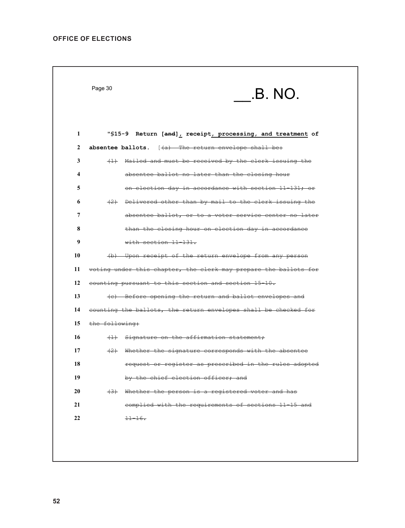|    | Page 30        | .B. NO.                                                          |
|----|----------------|------------------------------------------------------------------|
|    |                |                                                                  |
| 1  |                | "\$15-9 Return [and], receipt, processing, and treatment of      |
| 2  |                | absentee ballots. $[+a)$ The return envelope shall be:           |
| 3  |                | (1) Mailed and must be received by the clerk issuing the         |
| 4  |                | absentee ballot no later than the closing hour                   |
| 5  |                | on election day in accordance with section 11-131; or            |
| 6  |                | (2) Delivered other than by mail to the clerk issuing the        |
| 7  |                | absentee ballot, or to a voter service center no later           |
| 8  |                | than the closing hour on election day in accordance              |
| 9  |                | with section 11-131.                                             |
| 10 |                | (b) Upon receipt of the return envelope from any person          |
| 11 |                | voting under this chapter, the clerk may prepare the ballots for |
| 12 |                | counting pursuant to this section and section 15-10.             |
| 13 |                | (c) Before opening the return and ballot envelopes and           |
| 14 |                | counting the ballots, the return envelopes shall be checked for  |
| 15 | the following: |                                                                  |
| 16 |                | (1) Signature on the affirmation statement;                      |
| 17 |                | (2) Whether the signature corresponds with the absentee          |
| 18 |                | request or register as prescribed in the rules adopted           |
| 19 |                | by the chief election officer; and                               |
| 20 |                | $(3)$ Whether the person is a registered voter and has           |
| 21 |                | complied with the requirements of sections 11-15 and             |
| 22 |                | $11 - 16.$                                                       |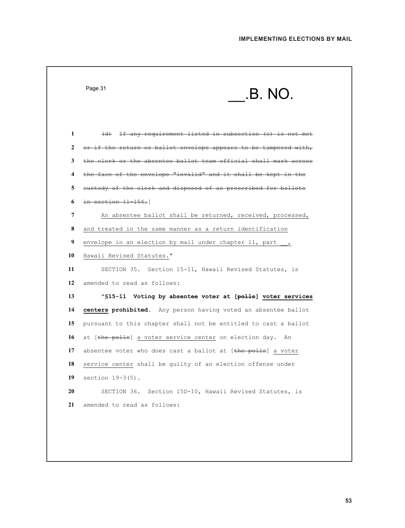$\overline{\phantom{0}}$ 

|                   | Page 31<br>.B. NO.                                                                                                             |
|-------------------|--------------------------------------------------------------------------------------------------------------------------------|
|                   |                                                                                                                                |
| 1<br>$\mathbf{2}$ | (d) If any requirement listed in subsection (c) is not met<br>or if the return or ballot envelope appears to be tampered with, |
| 3                 | the clerk or the absentee ballot team official shall mark across                                                               |
| 4                 | the face of the envelope "invalid" and it shall be kept in the                                                                 |
| 5                 | custody of the clerk and disposed of as prescribed for ballots                                                                 |
| 6                 | $in section 11-154.$                                                                                                           |
| 7                 | An absentee ballot shall be returned, received, processed,                                                                     |
| 8                 | and treated in the same manner as a return identification                                                                      |
| 9                 | envelope in an election by mail under chapter 11, part<br>$\overline{ }$                                                       |
| 10                | Hawaii Revised Statutes."                                                                                                      |
| 11                | SECTION 35. Section 15-11, Hawaii Revised Statutes, is                                                                         |
| 12                | amended to read as follows:                                                                                                    |
| 13                | "\$15-11 Voting by absentee voter at [polls] voter services                                                                    |
| 14                | centers prohibited. Any person having voted an absentee ballot                                                                 |
| 15                | pursuant to this chapter shall not be entitled to cast a ballot                                                                |
| 16                | at [the polls] a voter service center on election day. An                                                                      |
| 17                | absentee voter who does cast a ballot at [the polls] a voter                                                                   |
| 18                | service center shall be guilty of an election offense under                                                                    |
| 19                | section $19-3(5)$ .                                                                                                            |
| 20                | SECTION 36. Section 15D-10, Hawaii Revised Statutes, is                                                                        |
| 21                | amended to read as follows:                                                                                                    |
|                   |                                                                                                                                |
|                   |                                                                                                                                |
|                   |                                                                                                                                |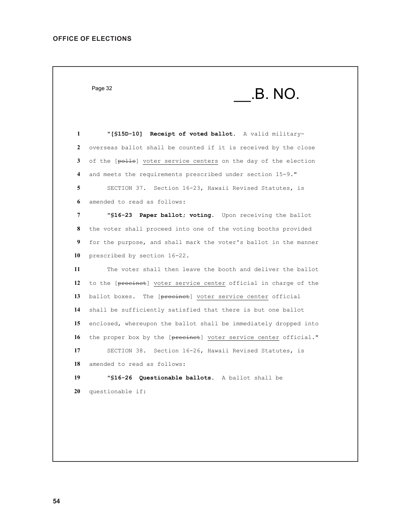$P$ age 32  $\hspace{1cm}$   $\hspace{1cm}$   $\hspace{1cm}$   $\hspace{1cm}$   $\hspace{1cm}$   $\hspace{1cm}$   $\hspace{1cm}$   $\hspace{1cm}$   $\hspace{1cm}$   $\hspace{1cm}$   $\hspace{1cm}$   $\hspace{1cm}$   $\hspace{1cm}$   $\hspace{1cm}$   $\hspace{1cm}$   $\hspace{1cm}$   $\hspace{1cm}$   $\hspace{1cm}$   $\hspace{1cm}$   $\hspace{1cm}$   $\hspace{1cm}$  **"[§15D-10] Receipt of voted ballot.** A valid military- overseas ballot shall be counted if it is received by the close 3 of the [polls] voter service centers on the day of the election and meets the requirements prescribed under section 15-9." SECTION 37. Section 16-23, Hawaii Revised Statutes, is amended to read as follows: **"§16-23 Paper ballot; voting.** Upon receiving the ballot the voter shall proceed into one of the voting booths provided for the purpose, and shall mark the voter's ballot in the manner prescribed by section 16-22. The voter shall then leave the booth and deliver the ballot to the [precinct] voter service center official in charge of the 13 ballot boxes. The [precinct] voter service center official shall be sufficiently satisfied that there is but one ballot enclosed, whereupon the ballot shall be immediately dropped into 16 the proper box by the [precinct] voter service center official." SECTION 38. Section 16-26, Hawaii Revised Statutes, is amended to read as follows: **"§16-26 Questionable ballots.** A ballot shall be questionable if: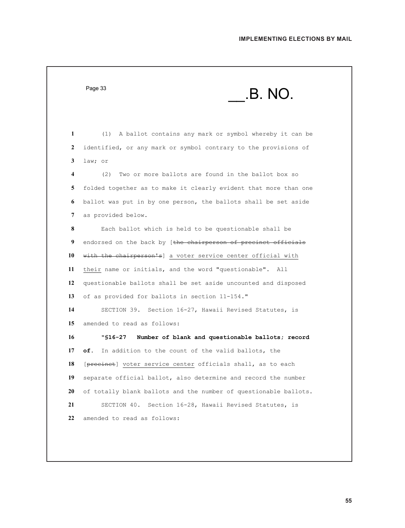|    | Page 33<br><b>.B. NO.</b>                                        |
|----|------------------------------------------------------------------|
|    |                                                                  |
| 1  | A ballot contains any mark or symbol whereby it can be<br>(1)    |
| 2  | identified, or any mark or symbol contrary to the provisions of  |
| 3  | law; or                                                          |
| 4  | (2)<br>Two or more ballots are found in the ballot box so        |
| 5  | folded together as to make it clearly evident that more than one |
| 6  | ballot was put in by one person, the ballots shall be set aside  |
| 7  | as provided below.                                               |
| 8  | Each ballot which is held to be questionable shall be            |
| 9  | endorsed on the back by [the chairperson of precinct officials   |
| 10 | with the chairperson's] a voter service center official with     |
| 11 | their name or initials, and the word "questionable". All         |
| 12 | questionable ballots shall be set aside uncounted and disposed   |
| 13 | of as provided for ballots in section 11-154."                   |
| 14 | SECTION 39. Section 16-27, Hawaii Revised Statutes, is           |
| 15 | amended to read as follows:                                      |
| 16 | "\$16-27<br>Number of blank and questionable ballots; record     |
| 17 | of. .<br>In addition to the count of the valid ballots, the      |
| 18 | [precinct] voter service center officials shall, as to each      |
| 19 | separate official ballot, also determine and record the number   |
| 20 | of totally blank ballots and the number of questionable ballots. |
| 21 | SECTION 40. Section 16-28, Hawaii Revised Statutes, is           |
| 22 | amended to read as follows:                                      |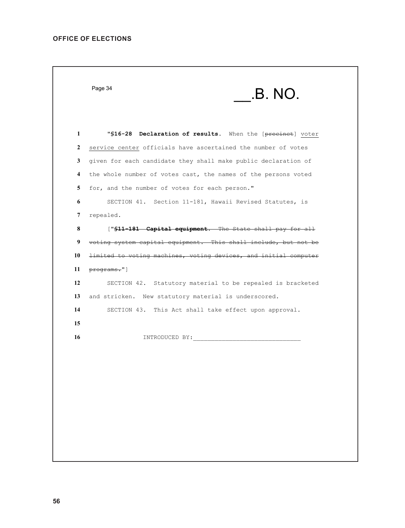|    | Page 34<br><b>.B. NO.</b>                                        |
|----|------------------------------------------------------------------|
| 1  | "\$16-28 Declaration of results. When the [precinct] voter       |
| 2  | service center officials have ascertained the number of votes    |
| 3  | given for each candidate they shall make public declaration of   |
| 4  | the whole number of votes cast, the names of the persons voted   |
| 5  | for, and the number of votes for each person."                   |
| 6  | SECTION 41. Section 11-181, Hawaii Revised Statutes, is          |
| 7  | repealed.                                                        |
| 8  | ["\$11-181 Capital equipment. The State shall pay for all        |
| 9  | voting system capital equipment. This shall include, but not be  |
| 10 | limited to voting machines, voting devices, and initial computer |
| 11 | programs."]                                                      |
| 12 | SECTION 42. Statutory material to be repealed is bracketed       |
| 13 | and stricken. New statutory material is underscored.             |
| 14 | SECTION 43. This Act shall take effect upon approval.            |
| 15 |                                                                  |
| 16 |                                                                  |
|    |                                                                  |
|    |                                                                  |
|    |                                                                  |
|    |                                                                  |
|    |                                                                  |
|    |                                                                  |
|    |                                                                  |
|    |                                                                  |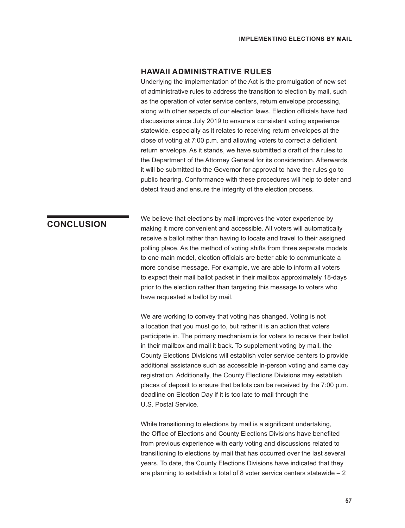#### **HAWAII ADMINISTRATIVE RULES**

Underlying the implementation of the Act is the promulgation of new set of administrative rules to address the transition to election by mail, such as the operation of voter service centers, return envelope processing, along with other aspects of our election laws. Election officials have had discussions since July 2019 to ensure a consistent voting experience statewide, especially as it relates to receiving return envelopes at the close of voting at 7:00 p.m. and allowing voters to correct a deficient return envelope. As it stands, we have submitted a draft of the rules to the Department of the Attorney General for its consideration. Afterwards, it will be submitted to the Governor for approval to have the rules go to public hearing. Conformance with these procedures will help to deter and detect fraud and ensure the integrity of the election process.

#### **CONCLUSION**

We believe that elections by mail improves the voter experience by making it more convenient and accessible. All voters will automatically receive a ballot rather than having to locate and travel to their assigned polling place. As the method of voting shifts from three separate models to one main model, election officials are better able to communicate a more concise message. For example, we are able to inform all voters to expect their mail ballot packet in their mailbox approximately 18-days prior to the election rather than targeting this message to voters who have requested a ballot by mail.

We are working to convey that voting has changed. Voting is not a location that you must go to, but rather it is an action that voters participate in. The primary mechanism is for voters to receive their ballot in their mailbox and mail it back. To supplement voting by mail, the County Elections Divisions will establish voter service centers to provide additional assistance such as accessible in-person voting and same day registration. Additionally, the County Elections Divisions may establish places of deposit to ensure that ballots can be received by the 7:00 p.m. deadline on Election Day if it is too late to mail through the U.S. Postal Service.

While transitioning to elections by mail is a significant undertaking, the Office of Elections and County Elections Divisions have benefited from previous experience with early voting and discussions related to transitioning to elections by mail that has occurred over the last several years. To date, the County Elections Divisions have indicated that they are planning to establish a total of 8 voter service centers statewide – 2